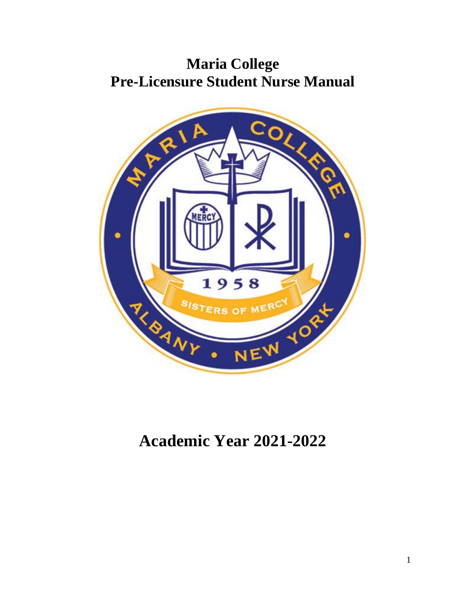# **Maria College Pre-Licensure Student Nurse Manual**



# **Academic Year 2021-2022**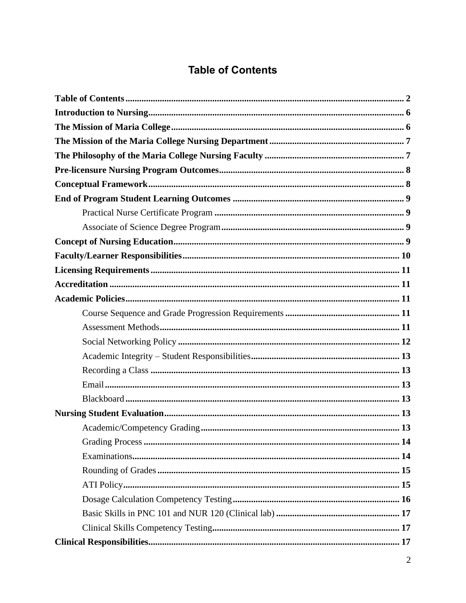## **Table of Contents**

<span id="page-1-0"></span>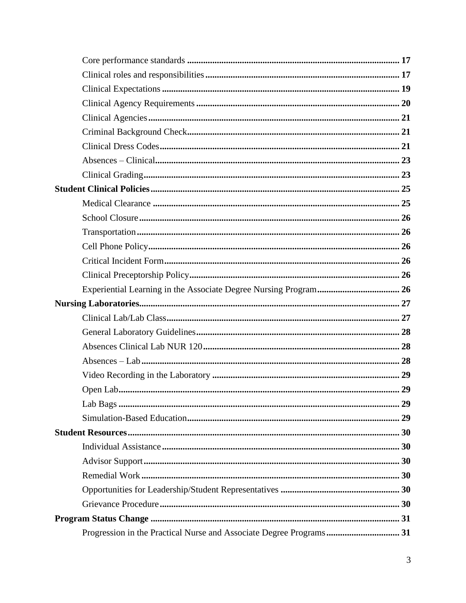| Progression in the Practical Nurse and Associate Degree Programs 31 |  |
|---------------------------------------------------------------------|--|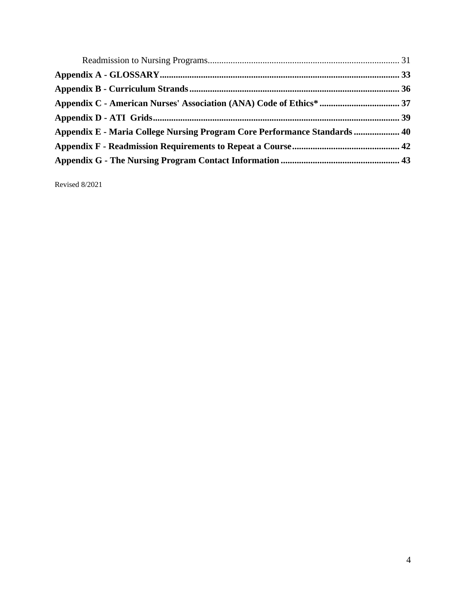| Appendix E - Maria College Nursing Program Core Performance Standards  40 |  |
|---------------------------------------------------------------------------|--|
|                                                                           |  |
|                                                                           |  |

Revised 8/2021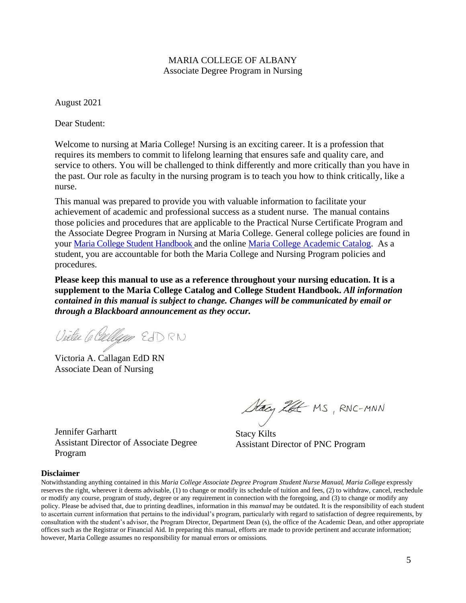#### MARIA COLLEGE OF ALBANY Associate Degree Program in Nursing

August 2021

Dear Student:

Welcome to nursing at Maria College! Nursing is an exciting career. It is a profession that requires its members to commit to lifelong learning that ensures safe and quality care, and service to others. You will be challenged to think differently and more critically than you have in the past. Our role as faculty in the nursing program is to teach you how to think critically, like a nurse.

This manual was prepared to provide you with valuable information to facilitate your achievement of academic and professional success as a student nurse. The manual contains those policies and procedures that are applicable to the Practical Nurse Certificate Program and the Associate Degree Program in Nursing at Maria College. General college policies are found in your [Maria College Student Handbook](https://mariacollege.edu/wp-content/uploads/2020/08/8.25.20-Student-Handbook2020_2.pdf) and the online Maria College [Academic Catalog.](https://mariacollege.edu/wp-content/uploads/2020/10/AcademicCatalogCover2020-21.pdf) As a student, you are accountable for both the Maria College and Nursing Program policies and procedures.

**Please keep this manual to use as a reference throughout your nursing education. It is a supplement to the Maria College Catalog and College Student Handbook.** *All information contained in this manual is subject to change. Changes will be communicated by email or through a Blackboard announcement as they occur.*

Victe G Callyan EDRN

Victoria A. Callagan EdD RN Associate Dean of Nursing

Stacy ZEE MS, RNC-MNN

Stacy Kilts Assistant Director of PNC Program

### Assistant Director of Associate Degree Program

Jennifer Garhartt

#### **Disclaimer**

Notwithstanding anything contained in this *Maria College Associate Degree Program Student Nurse Manual, Maria College* expressly reserves the right, wherever it deems advisable, (1) to change or modify its schedule of tuition and fees, (2) to withdraw, cancel, reschedule or modify any course, program of study, degree or any requirement in connection with the foregoing, and (3) to change or modify any policy. Please be advised that, due to printing deadlines, information in this *manual* may be outdated. It is the responsibility of each student to ascertain current information that pertains to the individual's program, particularly with regard to satisfaction of degree requirements, by consultation with the student's advisor, the Program Director, Department Dean (s), the office of the Academic Dean, and other appropriate offices such as the Registrar or Financial Aid. In preparing this manual, efforts are made to provide pertinent and accurate information; however, Maria College assumes no responsibility for manual errors or omissions.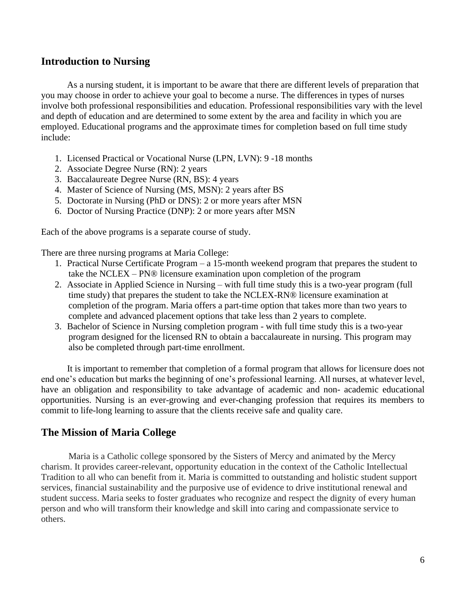### <span id="page-5-0"></span>**Introduction to Nursing**

As a nursing student, it is important to be aware that there are different levels of preparation that you may choose in order to achieve your goal to become a nurse. The differences in types of nurses involve both professional responsibilities and education. Professional responsibilities vary with the level and depth of education and are determined to some extent by the area and facility in which you are employed. Educational programs and the approximate times for completion based on full time study include:

- 1. Licensed Practical or Vocational Nurse (LPN, LVN): 9 -18 months
- 2. Associate Degree Nurse (RN): 2 years
- 3. Baccalaureate Degree Nurse (RN, BS): 4 years
- 4. Master of Science of Nursing (MS, MSN): 2 years after BS
- 5. Doctorate in Nursing (PhD or DNS): 2 or more years after MSN
- 6. Doctor of Nursing Practice (DNP): 2 or more years after MSN

Each of the above programs is a separate course of study.

There are three nursing programs at Maria College:

- 1. Practical Nurse Certificate Program a 15-month weekend program that prepares the student to take the NCLEX – PN® licensure examination upon completion of the program
- 2. Associate in Applied Science in Nursing with full time study this is a two-year program (full time study) that prepares the student to take the NCLEX-RN® licensure examination at completion of the program. Maria offers a part-time option that takes more than two years to complete and advanced placement options that take less than 2 years to complete.
- 3. Bachelor of Science in Nursing completion program with full time study this is a two-year program designed for the licensed RN to obtain a baccalaureate in nursing. This program may also be completed through part-time enrollment.

It is important to remember that completion of a formal program that allows for licensure does not end one's education but marks the beginning of one's professional learning. All nurses, at whatever level, have an obligation and responsibility to take advantage of academic and non- academic educational opportunities. Nursing is an ever-growing and ever-changing profession that requires its members to commit to life-long learning to assure that the clients receive safe and quality care.

### <span id="page-5-1"></span>**The Mission of Maria College**

Maria is a Catholic college sponsored by the Sisters of Mercy and animated by the Mercy charism. It provides career-relevant, opportunity education in the context of the Catholic Intellectual Tradition to all who can benefit from it. Maria is committed to outstanding and holistic student support services, financial sustainability and the purposive use of evidence to drive institutional renewal and student success. Maria seeks to foster graduates who recognize and respect the dignity of every human person and who will transform their knowledge and skill into caring and compassionate service to others.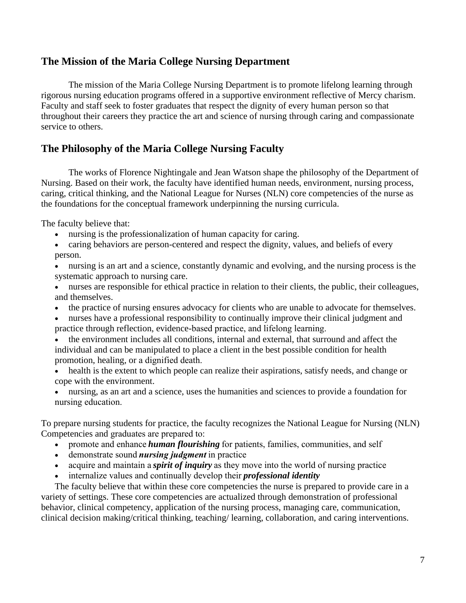### <span id="page-6-0"></span>**The Mission of the Maria College Nursing Department**

The mission of the Maria College Nursing Department is to promote lifelong learning through rigorous nursing education programs offered in a supportive environment reflective of Mercy charism. Faculty and staff seek to foster graduates that respect the dignity of every human person so that throughout their careers they practice the art and science of nursing through caring and compassionate service to others.

### <span id="page-6-1"></span>**The Philosophy of the Maria College Nursing Faculty**

The works of Florence Nightingale and Jean Watson shape the philosophy of the Department of Nursing. Based on their work, the faculty have identified human needs, environment, nursing process, caring, critical thinking, and the National League for Nurses (NLN) core competencies of the nurse as the foundations for the conceptual framework underpinning the nursing curricula.

The faculty believe that:

- nursing is the professionalization of human capacity for caring.
- caring behaviors are person-centered and respect the dignity, values, and beliefs of every person.
- nursing is an art and a science, constantly dynamic and evolving, and the nursing process is the systematic approach to nursing care.
- nurses are responsible for ethical practice in relation to their clients, the public, their colleagues, and themselves.
- the practice of nursing ensures advocacy for clients who are unable to advocate for themselves.
- nurses have a professional responsibility to continually improve their clinical judgment and practice through reflection, evidence-based practice, and lifelong learning.
- the environment includes all conditions, internal and external, that surround and affect the individual and can be manipulated to place a client in the best possible condition for health promotion, healing, or a dignified death.
- health is the extent to which people can realize their aspirations, satisfy needs, and change or cope with the environment.
- nursing, as an art and a science, uses the humanities and sciences to provide a foundation for nursing education.

To prepare nursing students for practice, the faculty recognizes the National League for Nursing (NLN) Competencies and graduates are prepared to:   

- promote and enhance *human flourishing* for patients, families, communities, and self
- demonstrate sound *nursing judgment*in practice
- acquire and maintain a *spirit of inquiry* as they move into the world of nursing practice
- internalize values and continually develop their *professional identity*

The faculty believe that within these core competencies the nurse is prepared to provide care in a variety of settings. These core competencies are actualized through demonstration of professional behavior, clinical competency, application of the nursing process, managing care, communication, clinical decision making/critical thinking, teaching/ learning, collaboration, and caring interventions.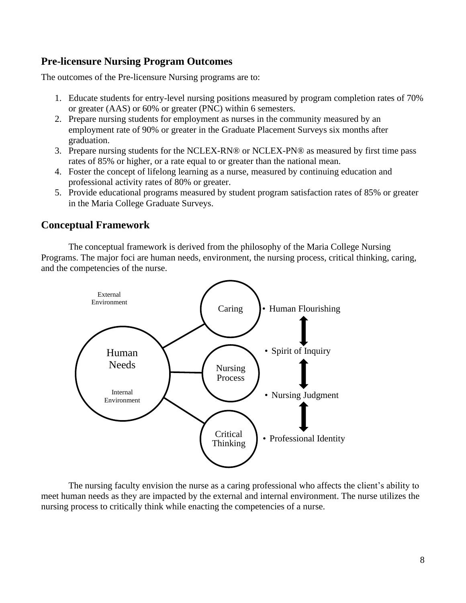### <span id="page-7-0"></span>**Pre-licensure Nursing Program Outcomes**

The outcomes of the Pre-licensure Nursing programs are to:

- 1. Educate students for entry-level nursing positions measured by program completion rates of 70% or greater (AAS) or 60% or greater (PNC) within 6 semesters.
- 2. Prepare nursing students for employment as nurses in the community measured by an employment rate of 90% or greater in the Graduate Placement Surveys six months after graduation.
- 3. Prepare nursing students for the NCLEX-RN® or NCLEX-PN® as measured by first time pass rates of 85% or higher, or a rate equal to or greater than the national mean.
- 4. Foster the concept of lifelong learning as a nurse, measured by continuing education and professional activity rates of 80% or greater.
- 5. Provide educational programs measured by student program satisfaction rates of 85% or greater in the Maria College Graduate Surveys.

### <span id="page-7-1"></span>**Conceptual Framework**

The conceptual framework is derived from the philosophy of the Maria College Nursing Programs. The major foci are human needs, environment, the nursing process, critical thinking, caring, and the competencies of the nurse.



The nursing faculty envision the nurse as a caring professional who affects the client's ability to meet human needs as they are impacted by the external and internal environment. The nurse utilizes the nursing process to critically think while enacting the competencies of a nurse.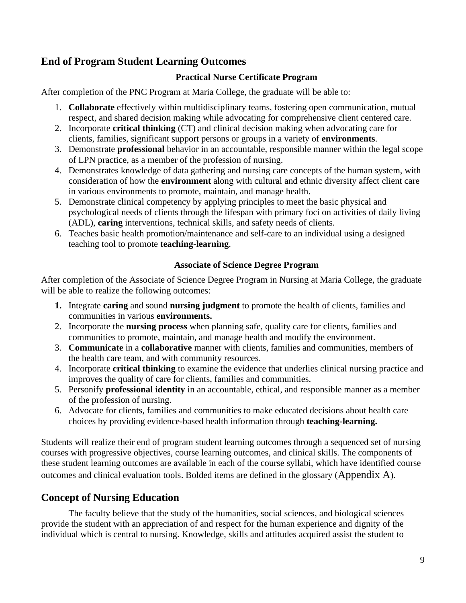### <span id="page-8-0"></span>**End of Program Student Learning Outcomes**

#### **Practical Nurse Certificate Program**

<span id="page-8-1"></span>After completion of the PNC Program at Maria College, the graduate will be able to:

- 1. **Collaborate** effectively within multidisciplinary teams, fostering open communication, mutual respect, and shared decision making while advocating for comprehensive client centered care.
- 2. Incorporate **critical thinking** (CT) and clinical decision making when advocating care for clients, families, significant support persons or groups in a variety of **environments**.
- 3. Demonstrate **professional** behavior in an accountable, responsible manner within the legal scope of LPN practice, as a member of the profession of nursing.
- 4. Demonstrates knowledge of data gathering and nursing care concepts of the human system, with consideration of how the **environment** along with cultural and ethnic diversity affect client care in various environments to promote, maintain, and manage health.
- 5. Demonstrate clinical competency by applying principles to meet the basic physical and psychological needs of clients through the lifespan with primary foci on activities of daily living (ADL), **caring** interventions, technical skills, and safety needs of clients.
- 6. Teaches basic health promotion/maintenance and self-care to an individual using a designed teaching tool to promote **teaching-learning**.

#### **Associate of Science Degree Program**

<span id="page-8-2"></span>After completion of the Associate of Science Degree Program in Nursing at Maria College, the graduate will be able to realize the following outcomes:

- **1.** Integrate **caring** and sound **nursing judgment** to promote the health of clients, families and communities in various **environments.**
- 2. Incorporate the **nursing process** when planning safe, quality care for clients, families and communities to promote, maintain, and manage health and modify the environment.
- 3. **Communicate** in a **collaborative** manner with clients, families and communities, members of the health care team, and with community resources.
- 4. Incorporate **critical thinking** to examine the evidence that underlies clinical nursing practice and improves the quality of care for clients, families and communities.
- 5. Personify **professional identity** in an accountable, ethical, and responsible manner as a member of the profession of nursing.
- 6. Advocate for clients, families and communities to make educated decisions about health care choices by providing evidence-based health information through **teaching-learning.**

Students will realize their end of program student learning outcomes through a sequenced set of nursing courses with progressive objectives, course learning outcomes, and clinical skills. The components of these student learning outcomes are available in each of the course syllabi, which have identified course outcomes and clinical evaluation tools. Bolded items are defined in the glossary ([Appendix A](#page-32-0)).

### <span id="page-8-3"></span>**Concept of Nursing Education**

The faculty believe that the study of the humanities, social sciences, and biological sciences provide the student with an appreciation of and respect for the human experience and dignity of the individual which is central to nursing. Knowledge, skills and attitudes acquired assist the student to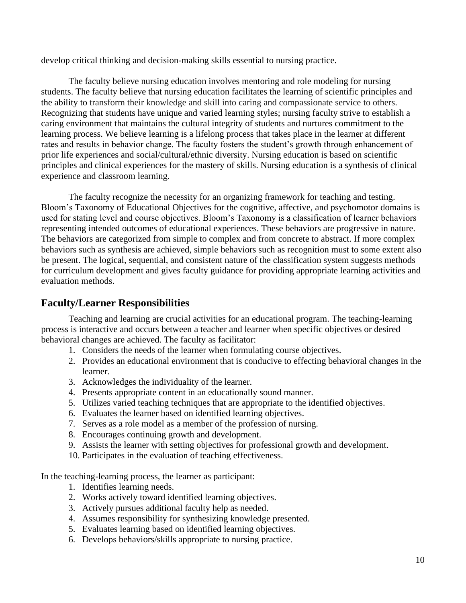develop critical thinking and decision-making skills essential to nursing practice.

The faculty believe nursing education involves mentoring and role modeling for nursing students. The faculty believe that nursing education facilitates the learning of scientific principles and the ability to transform their knowledge and skill into caring and compassionate service to others. Recognizing that students have unique and varied learning styles; nursing faculty strive to establish a caring environment that maintains the cultural integrity of students and nurtures commitment to the learning process. We believe learning is a lifelong process that takes place in the learner at different rates and results in behavior change. The faculty fosters the student's growth through enhancement of prior life experiences and social/cultural/ethnic diversity. Nursing education is based on scientific principles and clinical experiences for the mastery of skills. Nursing education is a synthesis of clinical experience and classroom learning.

The faculty recognize the necessity for an organizing framework for teaching and testing. Bloom's Taxonomy of Educational Objectives for the cognitive, affective, and psychomotor domains is used for stating level and course objectives. Bloom's Taxonomy is a classification of learner behaviors representing intended outcomes of educational experiences. These behaviors are progressive in nature. The behaviors are categorized from simple to complex and from concrete to abstract. If more complex behaviors such as synthesis are achieved, simple behaviors such as recognition must to some extent also be present. The logical, sequential, and consistent nature of the classification system suggests methods for curriculum development and gives faculty guidance for providing appropriate learning activities and evaluation methods.

### <span id="page-9-0"></span>**Faculty/Learner Responsibilities**

Teaching and learning are crucial activities for an educational program. The teaching-learning process is interactive and occurs between a teacher and learner when specific objectives or desired behavioral changes are achieved. The faculty as facilitator:

- 1. Considers the needs of the learner when formulating course objectives.
- 2. Provides an educational environment that is conducive to effecting behavioral changes in the learner.
- 3. Acknowledges the individuality of the learner.
- 4. Presents appropriate content in an educationally sound manner.
- 5. Utilizes varied teaching techniques that are appropriate to the identified objectives.
- 6. Evaluates the learner based on identified learning objectives.
- 7. Serves as a role model as a member of the profession of nursing.
- 8. Encourages continuing growth and development.
- 9. Assists the learner with setting objectives for professional growth and development.
- 10. Participates in the evaluation of teaching effectiveness.

In the teaching-learning process, the learner as participant:

- 1. Identifies learning needs.
- 2. Works actively toward identified learning objectives.
- 3. Actively pursues additional faculty help as needed.
- 4. Assumes responsibility for synthesizing knowledge presented.
- 5. Evaluates learning based on identified learning objectives.
- 6. Develops behaviors/skills appropriate to nursing practice.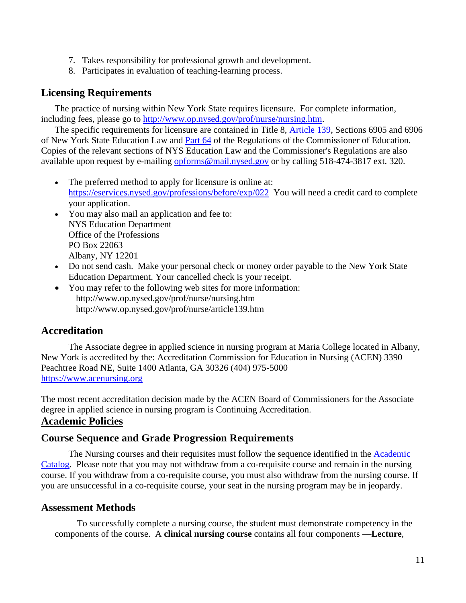- 7. Takes responsibility for professional growth and development.
- 8. Participates in evaluation of teaching-learning process.

### <span id="page-10-0"></span>**Licensing Requirements**

The practice of nursing within New York State requires licensure. For complete information, including fees, please go to [http://www.op.nysed.gov/prof/nurse/nursing.htm.](http://www.op.nysed.gov/prof/nurse/nursing.htm)

The specific requirements for licensure are contained in Title 8, [Article 139,](http://www.op.nysed.gov/article139.htm) Sections 6905 and 6906 of New York State Education Law and [Part 64](http://www.op.nysed.gov/part64.htm) of the Regulations of the Commissioner of Education. Copies of the relevant sections of NYS Education Law and the Commissioner's Regulations are also available upon request by e-mailing [opforms@mail.nysed.gov](mailto:opforms@mail.nysed.gov) or by calling 518-474-3817 ext. 320.

- The preferred method to apply for licensure is online at: <https://eservices.nysed.gov/professions/before/exp/022>You will need a credit card to complete your application.
- You may also mail an application and fee to: NYS Education Department Office of the Professions PO Box 22063 Albany, NY 12201
- Do not send cash. Make your personal check or money order payable to the New York State Education Department. Your cancelled check is your receipt.
- You may refer to the following web sites for more information: <http://www.op.nysed.gov/prof/nurse/nursing.htm> <http://www.op.nysed.gov/prof/nurse/article139.htm>

### <span id="page-10-1"></span>**Accreditation**

The Associate degree in applied science in nursing program at Maria College located in Albany, New York is accredited by the: Accreditation Commission for Education in Nursing (ACEN) 3390 Peachtree Road NE, Suite 1400 Atlanta, GA 30326 (404) 975-5000 [https://www.acenursing.org](https://www.acenursing.org/)

The most recent accreditation decision made by the ACEN Board of Commissioners for the Associate degree in applied science in nursing program is Continuing Accreditation. **Academic Policies**

### <span id="page-10-3"></span><span id="page-10-2"></span>**Course Sequence and Grade Progression Requirements**

The Nursing courses and their requisites must follow the sequence identified in the Academic [Catalog.](https://mariacollege.edu/wp-content/uploads/2020/10/AcademicCatalogCover2020-21.pdf) Please note that you may not withdraw from a co-requisite course and remain in the nursing course. If you withdraw from a co-requisite course, you must also withdraw from the nursing course. If you are unsuccessful in a co-requisite course, your seat in the nursing program may be in jeopardy.

### <span id="page-10-4"></span>**Assessment Methods**

To successfully complete a nursing course, the student must demonstrate competency in the components of the course. A **clinical nursing course** contains all four components —**Lecture**,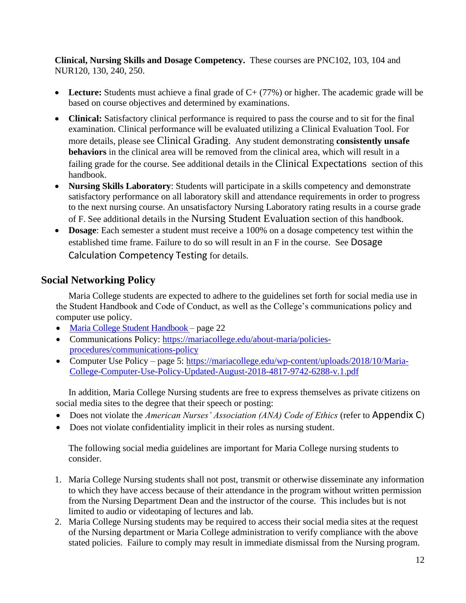**Clinical, Nursing Skills and Dosage Competency.** These courses are PNC102, 103, 104 and NUR120, 130, 240, 250.

- Lecture: Students must achieve a final grade of C+ (77%) or higher. The academic grade will be based on course objectives and determined by examinations.
- **Clinical:** Satisfactory clinical performance is required to pass the course and to sit for the final examination. Clinical performance will be evaluated utilizing a Clinical Evaluation Tool. For more details, please see [Clinical Grading](#page-22-1). Any student demonstrating **consistently unsafe behaviors** in the clinical area will be removed from the clinical area, which will result in a failing grade for the course. See additional details in the [Clinical Expectations](#page-18-0) section of this handbook.
- **Nursing Skills Laboratory**: Students will participate in a skills competency and demonstrate satisfactory performance on all laboratory skill and attendance requirements in order to progress to the next nursing course. An unsatisfactory Nursing Laboratory rating results in a course grade of F. See additional details in the [Nursing Student Evaluation](#page-12-4) section of this handbook.
- **Dosage**: Each semester a student must receive a 100% on a dosage competency test within the established time frame. Failure to do so will result in an F in the course. See [Dosage](#page-15-0)  [Calculation Competency Testing](#page-15-0) for details.

### <span id="page-11-0"></span>**Social Networking Policy**

Maria College students are expected to adhere to the guidelines set forth for social media use in the Student Handbook and Code of Conduct, as well as the College's communications policy and computer use policy.

- [Maria College Student Handbook](https://mariacollege.edu/wp-content/uploads/2020/08/8.25.20-Student-Handbook2020_2.pdf) page 22
- Communications Policy: [https://mariacollege.edu/about-maria/policies](https://mariacollege.edu/about-maria/policies-procedures/communications-policy)[procedures/communications-policy](https://mariacollege.edu/about-maria/policies-procedures/communications-policy)
- Computer Use Policy page 5: [https://mariacollege.edu/wp-content/uploads/2018/10/Maria-](https://mariacollege.edu/wp-content/uploads/2018/10/Maria-College-Computer-Use-Policy-Updated-August-2018-4817-9742-6288-v.1.pdf)[College-Computer-Use-Policy-Updated-August-2018-4817-9742-6288-v.1.pdf](https://mariacollege.edu/wp-content/uploads/2018/10/Maria-College-Computer-Use-Policy-Updated-August-2018-4817-9742-6288-v.1.pdf)

In addition, Maria College Nursing students are free to express themselves as private citizens on social media sites to the degree that their speech or posting:

- Does not violate the *American Nurses' Association (ANA) Code of Ethics* (refer to **[Appendix C](#page-36-0)**)
- Does not violate confidentiality implicit in their roles as nursing student.

The following social media guidelines are important for Maria College nursing students to consider.

- 1. Maria College Nursing students shall not post, transmit or otherwise disseminate any information to which they have access because of their attendance in the program without written permission from the Nursing Department Dean and the instructor of the course. This includes but is not limited to audio or videotaping of lectures and lab.
- 2. Maria College Nursing students may be required to access their social media sites at the request of the Nursing department or Maria College administration to verify compliance with the above stated policies. Failure to comply may result in immediate dismissal from the Nursing program.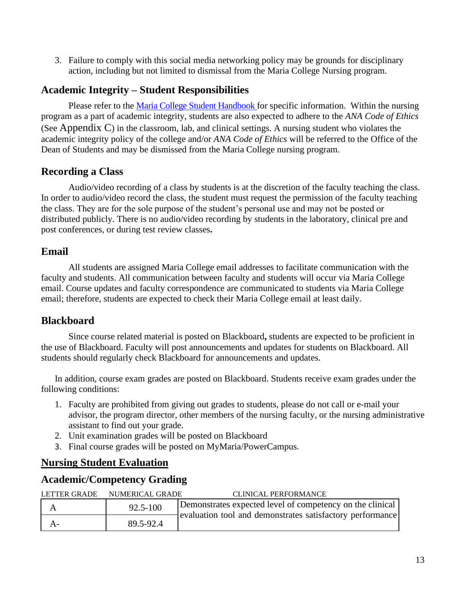3. Failure to comply with this social media networking policy may be grounds for disciplinary action, including but not limited to dismissal from the Maria College Nursing program.

### <span id="page-12-0"></span>**Academic Integrity – Student Responsibilities**

Please refer to the [Maria College Student Handbook](https://mariacollege.edu/wp-content/uploads/2020/08/8.25.20-Student-Handbook2020_2.pdf) for specific information. Within the nursing program as a part of academic integrity, students are also expected to adhere to the *ANA Code of Ethics* (See [Appendix C](#page-36-0)) in the classroom, lab, and clinical settings. A nursing student who violates the academic integrity policy of the college and/or *ANA Code of Ethics* will be referred to the Office of the Dean of Students and may be dismissed from the Maria College nursing program.

### <span id="page-12-1"></span>**Recording a Class**

Audio/video recording of a class by students is at the discretion of the faculty teaching the class. In order to audio/video record the class, the student must request the permission of the faculty teaching the class. They are for the sole purpose of the student's personal use and may not be posted or distributed publicly. There is no audio/video recording by students in the laboratory, clinical pre and post conferences, or during test review classes**.** 

### <span id="page-12-2"></span>**Email**

All students are assigned Maria College email addresses to facilitate communication with the faculty and students. All communication between faculty and students will occur via Maria College email. Course updates and faculty correspondence are communicated to students via Maria College email; therefore, students are expected to check their Maria College email at least daily.

### <span id="page-12-3"></span>**Blackboard**

Since course related material is posted on Blackboard**,** students are expected to be proficient in the use of Blackboard. Faculty will post announcements and updates for students on Blackboard. All students should regularly check Blackboard for announcements and updates.

In addition, course exam grades are posted on Blackboard. Students receive exam grades under the following conditions:

- 1. Faculty are prohibited from giving out grades to students, please do not call or e-mail your advisor, the program director, other members of the nursing faculty, or the nursing administrative assistant to find out your grade.
- 2. Unit examination grades will be posted on Blackboard
- 3. Final course grades will be posted on MyMaria/PowerCampus.

### <span id="page-12-4"></span>**Nursing Student Evaluation**

### <span id="page-12-5"></span>**Academic/Competency Grading**

| <b>LETTER GRADE</b> | NUMERICAL GRADE | <b>CLINICAL PERFORMANCE</b>                               |
|---------------------|-----------------|-----------------------------------------------------------|
| A                   | $92.5 - 100$    | Demonstrates expected level of competency on the clinical |
| $A-$                | 89.5-92.4       | evaluation tool and demonstrates satisfactory performance |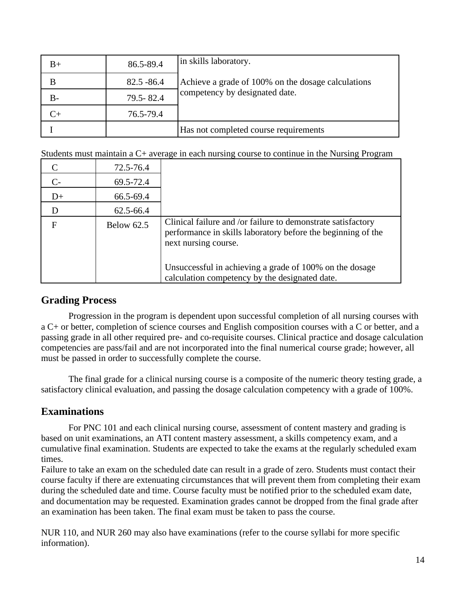| B+ | 86.5-89.4     | in skills laboratory.                                                                |
|----|---------------|--------------------------------------------------------------------------------------|
| B  | $82.5 - 86.4$ | Achieve a grade of 100% on the dosage calculations<br>competency by designated date. |
| В- | 79.5 - 82.4   |                                                                                      |
|    | 76.5-79.4     |                                                                                      |
|    |               | Has not completed course requirements                                                |

Students must maintain a C+ average in each nursing course to continue in the Nursing Program

|               | 72.5-76.4         |                                                                                                                                                      |
|---------------|-------------------|------------------------------------------------------------------------------------------------------------------------------------------------------|
| $\mathcal{C}$ | 69.5-72.4         |                                                                                                                                                      |
| $D+$          | 66.5-69.4         |                                                                                                                                                      |
|               | 62.5-66.4         |                                                                                                                                                      |
| F             | <b>Below 62.5</b> | Clinical failure and /or failure to demonstrate satisfactory<br>performance in skills laboratory before the beginning of the<br>next nursing course. |
|               |                   | Unsuccessful in achieving a grade of 100% on the dosage<br>calculation competency by the designated date.                                            |

### <span id="page-13-0"></span>**Grading Process**

Progression in the program is dependent upon successful completion of all nursing courses with a C+ or better, completion of science courses and English composition courses with a C or better, and a passing grade in all other required pre- and co-requisite courses. Clinical practice and dosage calculation competencies are pass/fail and are not incorporated into the final numerical course grade; however, all must be passed in order to successfully complete the course.

The final grade for a clinical nursing course is a composite of the numeric theory testing grade, a satisfactory clinical evaluation, and passing the dosage calculation competency with a grade of 100%.

### <span id="page-13-1"></span>**Examinations**

For PNC 101 and each clinical nursing course, assessment of content mastery and grading is based on unit examinations, an ATI content mastery assessment, a skills competency exam, and a cumulative final examination. Students are expected to take the exams at the regularly scheduled exam times.

Failure to take an exam on the scheduled date can result in a grade of zero. Students must contact their course faculty if there are extenuating circumstances that will prevent them from completing their exam during the scheduled date and time. Course faculty must be notified prior to the scheduled exam date, and documentation may be requested. Examination grades cannot be dropped from the final grade after an examination has been taken. The final exam must be taken to pass the course.

NUR 110, and NUR 260 may also have examinations (refer to the course syllabi for more specific information).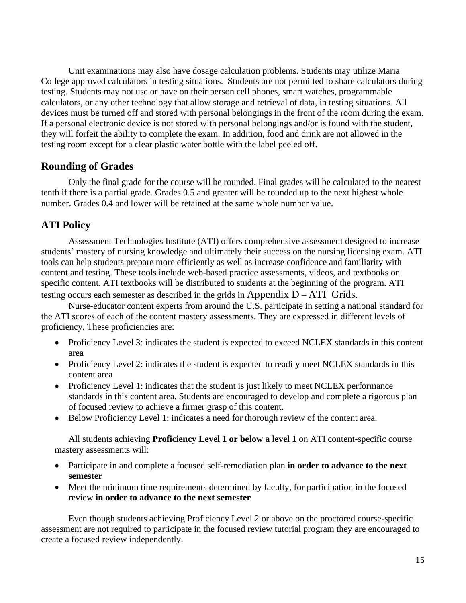Unit examinations may also have dosage calculation problems. Students may utilize Maria College approved calculators in testing situations. Students are not permitted to share calculators during testing. Students may not use or have on their person cell phones, smart watches, programmable calculators, or any other technology that allow storage and retrieval of data, in testing situations. All devices must be turned off and stored with personal belongings in the front of the room during the exam. If a personal electronic device is not stored with personal belongings and/or is found with the student, they will forfeit the ability to complete the exam. In addition, food and drink are not allowed in the testing room except for a clear plastic water bottle with the label peeled off.

### <span id="page-14-0"></span>**Rounding of Grades**

Only the final grade for the course will be rounded. Final grades will be calculated to the nearest tenth if there is a partial grade. Grades 0.5 and greater will be rounded up to the next highest whole number. Grades 0.4 and lower will be retained at the same whole number value.

### <span id="page-14-1"></span>**ATI Policy**

Assessment Technologies Institute (ATI) offers comprehensive assessment designed to increase students' mastery of nursing knowledge and ultimately their success on the nursing licensing exam. ATI tools can help students prepare more efficiently as well as increase confidence and familiarity with content and testing. These tools include web-based practice assessments, videos, and textbooks on specific content. ATI textbooks will be distributed to students at the beginning of the program. ATI testing occurs each semester as described in the grids in Appendix  $D - ATI$  Grids.

Nurse-educator content experts from around the U.S. participate in setting a national standard for the ATI scores of each of the content mastery assessments. They are expressed in different levels of proficiency. These proficiencies are:

- Proficiency Level 3: indicates the student is expected to exceed NCLEX standards in this content area
- Proficiency Level 2: indicates the student is expected to readily meet NCLEX standards in this content area
- Proficiency Level 1: indicates that the student is just likely to meet NCLEX performance standards in this content area. Students are encouraged to develop and complete a rigorous plan of focused review to achieve a firmer grasp of this content.
- Below Proficiency Level 1: indicates a need for thorough review of the content area.

All students achieving **Proficiency Level 1 or below a level 1** on ATI content-specific course mastery assessments will:

- Participate in and complete a focused self-remediation plan **in order to advance to the next semester**
- Meet the minimum time requirements determined by faculty, for participation in the focused review **in order to advance to the next semester**

Even though students achieving Proficiency Level 2 or above on the proctored course-specific assessment are not required to participate in the focused review tutorial program they are encouraged to create a focused review independently.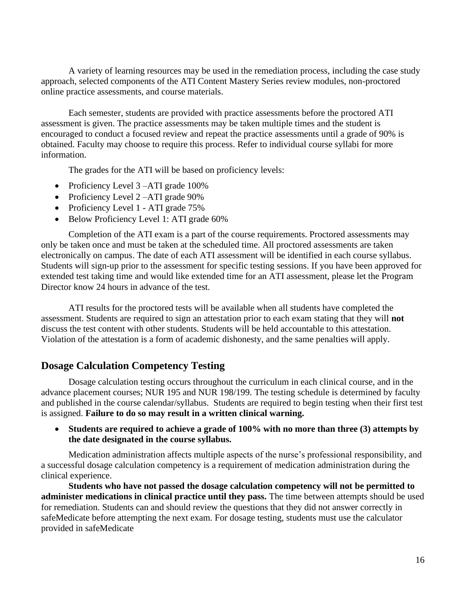A variety of learning resources may be used in the remediation process, including the case study approach, selected components of the ATI Content Mastery Series review modules, non-proctored online practice assessments, and course materials.

Each semester, students are provided with practice assessments before the proctored ATI assessment is given. The practice assessments may be taken multiple times and the student is encouraged to conduct a focused review and repeat the practice assessments until a grade of 90% is obtained. Faculty may choose to require this process. Refer to individual course syllabi for more information.

The grades for the ATI will be based on proficiency levels:

- Proficiency Level 3 ATI grade 100%
- Proficiency Level 2 ATI grade 90%
- Proficiency Level 1 ATI grade 75%
- Below Proficiency Level 1: ATI grade 60%

Completion of the ATI exam is a part of the course requirements. Proctored assessments may only be taken once and must be taken at the scheduled time. All proctored assessments are taken electronically on campus. The date of each ATI assessment will be identified in each course syllabus. Students will sign-up prior to the assessment for specific testing sessions. If you have been approved for extended test taking time and would like extended time for an ATI assessment, please let the Program Director know 24 hours in advance of the test.

ATI results for the proctored tests will be available when all students have completed the assessment. Students are required to sign an attestation prior to each exam stating that they will **not** discuss the test content with other students. Students will be held accountable to this attestation. Violation of the attestation is a form of academic dishonesty, and the same penalties will apply.

### <span id="page-15-0"></span>**Dosage Calculation Competency Testing**

Dosage calculation testing occurs throughout the curriculum in each clinical course, and in the advance placement courses; NUR 195 and NUR 198/199. The testing schedule is determined by faculty and published in the course calendar/syllabus. Students are required to begin testing when their first test is assigned. **Failure to do so may result in a written clinical warning.**

#### • **Students are required to achieve a grade of 100% with no more than three (3) attempts by the date designated in the course syllabus.**

Medication administration affects multiple aspects of the nurse's professional responsibility, and a successful dosage calculation competency is a requirement of medication administration during the clinical experience.

**Students who have not passed the dosage calculation competency will not be permitted to administer medications in clinical practice until they pass.** The time between attempts should be used for remediation. Students can and should review the questions that they did not answer correctly in safeMedicate before attempting the next exam. For dosage testing, students must use the calculator provided in safeMedicate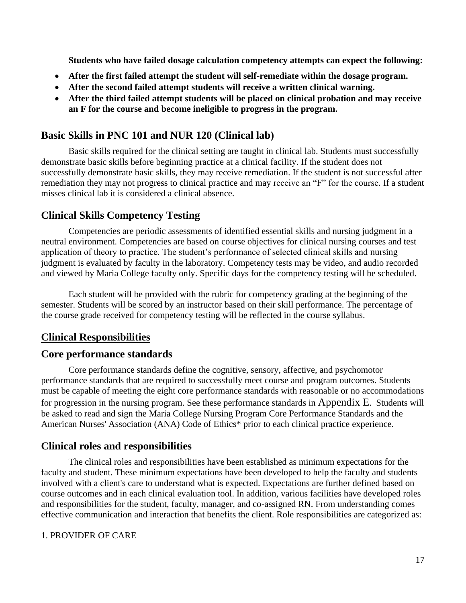**Students who have failed dosage calculation competency attempts can expect the following:** 

- **After the first failed attempt the student will self-remediate within the dosage program.**
- **After the second failed attempt students will receive a written clinical warning.**
- **After the third failed attempt students will be placed on clinical probation and may receive an F for the course and become ineligible to progress in the program.**

### <span id="page-16-0"></span>**Basic Skills in PNC 101 and NUR 120 (Clinical lab)**

Basic skills required for the clinical setting are taught in clinical lab. Students must successfully demonstrate basic skills before beginning practice at a clinical facility. If the student does not successfully demonstrate basic skills, they may receive remediation. If the student is not successful after remediation they may not progress to clinical practice and may receive an "F" for the course. If a student misses clinical lab it is considered a clinical absence.

### <span id="page-16-1"></span>**Clinical Skills Competency Testing**

Competencies are periodic assessments of identified essential skills and nursing judgment in a neutral environment. Competencies are based on course objectives for clinical nursing courses and test application of theory to practice. The student's performance of selected clinical skills and nursing judgment is evaluated by faculty in the laboratory. Competency tests may be video, and audio recorded and viewed by Maria College faculty only. Specific days for the competency testing will be scheduled.

Each student will be provided with the rubric for competency grading at the beginning of the semester. Students will be scored by an instructor based on their skill performance. The percentage of the course grade received for competency testing will be reflected in the course syllabus.

### <span id="page-16-2"></span>**Clinical Responsibilities**

#### <span id="page-16-3"></span>**Core performance standards**

Core performance standards define the cognitive, sensory, affective, and psychomotor performance standards that are required to successfully meet course and program outcomes. Students must be capable of meeting the eight core performance standards with reasonable or no accommodations for progression in the nursing program. See these performance standards in [Appendix E](#page-39-0). Students will be asked to read and sign the [Maria College Nursing Program Core Performance Standards](#page-39-1) and the [American Nurses' Association \(ANA\) Code of Ethics\\*](#page-36-1) prior to each clinical practice experience.

### <span id="page-16-4"></span>**Clinical roles and responsibilities**

The clinical roles and responsibilities have been established as minimum expectations for the faculty and student. These minimum expectations have been developed to help the faculty and students involved with a client's care to understand what is expected. Expectations are further defined based on course outcomes and in each clinical evaluation tool. In addition, various facilities have developed roles and responsibilities for the student, faculty, manager, and co-assigned RN. From understanding comes effective communication and interaction that benefits the client. Role responsibilities are categorized as:

#### 1. PROVIDER OF CARE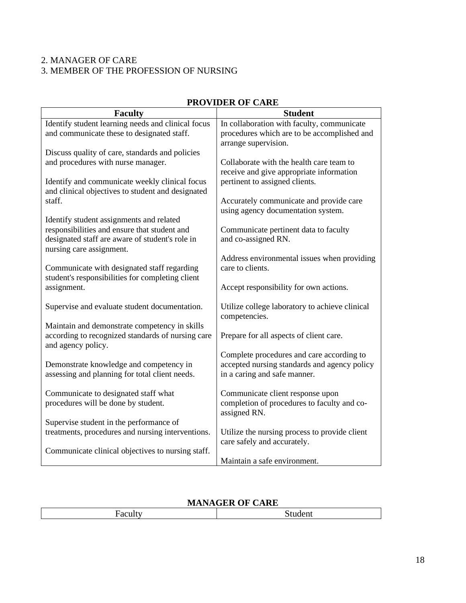### 2. MANAGER OF CARE

### 3. MEMBER OF THE PROFESSION OF NURSING

| THO TIBER OF CHINE                                 |                                                |  |  |
|----------------------------------------------------|------------------------------------------------|--|--|
| <b>Faculty</b>                                     | <b>Student</b>                                 |  |  |
| Identify student learning needs and clinical focus | In collaboration with faculty, communicate     |  |  |
| and communicate these to designated staff.         | procedures which are to be accomplished and    |  |  |
|                                                    | arrange supervision.                           |  |  |
| Discuss quality of care, standards and policies    |                                                |  |  |
| and procedures with nurse manager.                 | Collaborate with the health care team to       |  |  |
|                                                    | receive and give appropriate information       |  |  |
| Identify and communicate weekly clinical focus     | pertinent to assigned clients.                 |  |  |
| and clinical objectives to student and designated  |                                                |  |  |
| staff.                                             | Accurately communicate and provide care        |  |  |
|                                                    | using agency documentation system.             |  |  |
| Identify student assignments and related           |                                                |  |  |
| responsibilities and ensure that student and       | Communicate pertinent data to faculty          |  |  |
| designated staff are aware of student's role in    | and co-assigned RN.                            |  |  |
| nursing care assignment.                           |                                                |  |  |
|                                                    | Address environmental issues when providing    |  |  |
| Communicate with designated staff regarding        | care to clients.                               |  |  |
| student's responsibilities for completing client   |                                                |  |  |
| assignment.                                        | Accept responsibility for own actions.         |  |  |
|                                                    |                                                |  |  |
| Supervise and evaluate student documentation.      | Utilize college laboratory to achieve clinical |  |  |
|                                                    | competencies.                                  |  |  |
| Maintain and demonstrate competency in skills      |                                                |  |  |
| according to recognized standards of nursing care  | Prepare for all aspects of client care.        |  |  |
| and agency policy.                                 |                                                |  |  |
|                                                    | Complete procedures and care according to      |  |  |
| Demonstrate knowledge and competency in            | accepted nursing standards and agency policy   |  |  |
| assessing and planning for total client needs.     | in a caring and safe manner.                   |  |  |
|                                                    |                                                |  |  |
| Communicate to designated staff what               | Communicate client response upon               |  |  |
| procedures will be done by student.                | completion of procedures to faculty and co-    |  |  |
|                                                    | assigned RN.                                   |  |  |
| Supervise student in the performance of            |                                                |  |  |
| treatments, procedures and nursing interventions.  | Utilize the nursing process to provide client  |  |  |
|                                                    | care safely and accurately.                    |  |  |
| Communicate clinical objectives to nursing staff.  |                                                |  |  |
|                                                    | Maintain a safe environment.                   |  |  |

### **PROVIDER OF CARE**

### **MANAGER OF CARE**

| $\cdots$ |  |  |
|----------|--|--|
| аι       |  |  |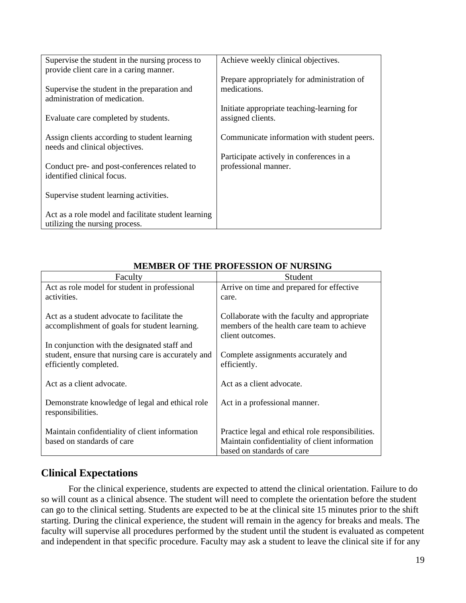| Supervise the student in the nursing process to                                       | Achieve weekly clinical objectives.                              |
|---------------------------------------------------------------------------------------|------------------------------------------------------------------|
| provide client care in a caring manner.                                               |                                                                  |
| Supervise the student in the preparation and<br>administration of medication.         | Prepare appropriately for administration of<br>medications.      |
| Evaluate care completed by students.                                                  | Initiate appropriate teaching-learning for<br>assigned clients.  |
| Assign clients according to student learning<br>needs and clinical objectives.        | Communicate information with student peers.                      |
| Conduct pre- and post-conferences related to<br>identified clinical focus.            | Participate actively in conferences in a<br>professional manner. |
| Supervise student learning activities.                                                |                                                                  |
| Act as a role model and facilitate student learning<br>utilizing the nursing process. |                                                                  |

| Faculty                                                                                      | Student                                                                                                                           |  |
|----------------------------------------------------------------------------------------------|-----------------------------------------------------------------------------------------------------------------------------------|--|
| Act as role model for student in professional                                                | Arrive on time and prepared for effective                                                                                         |  |
| activities.                                                                                  | care.                                                                                                                             |  |
| Act as a student advocate to facilitate the<br>accomplishment of goals for student learning. | Collaborate with the faculty and appropriate<br>members of the health care team to achieve<br>client outcomes.                    |  |
| In conjunction with the designated staff and                                                 |                                                                                                                                   |  |
| student, ensure that nursing care is accurately and<br>efficiently completed.                | Complete assignments accurately and<br>efficiently.                                                                               |  |
| Act as a client advocate.                                                                    | Act as a client advocate.                                                                                                         |  |
| Demonstrate knowledge of legal and ethical role<br>responsibilities.                         | Act in a professional manner.                                                                                                     |  |
| Maintain confidentiality of client information<br>based on standards of care                 | Practice legal and ethical role responsibilities.<br>Maintain confidentiality of client information<br>based on standards of care |  |

### **MEMBER OF THE PROFESSION OF NURSING**

### <span id="page-18-0"></span>**Clinical Expectations**

For the clinical experience, students are expected to attend the clinical orientation. Failure to do so will count as a clinical absence. The student will need to complete the orientation before the student can go to the clinical setting. Students are expected to be at the clinical site 15 minutes prior to the shift starting. During the clinical experience, the student will remain in the agency for breaks and meals. The faculty will supervise all procedures performed by the student until the student is evaluated as competent and independent in that specific procedure. Faculty may ask a student to leave the clinical site if for any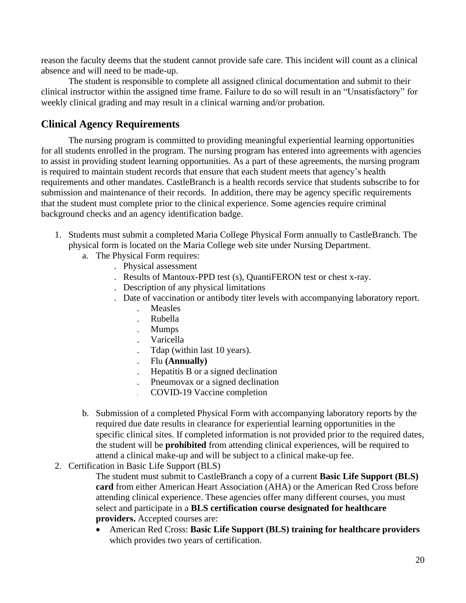reason the faculty deems that the student cannot provide safe care. This incident will count as a clinical absence and will need to be made-up.

The student is responsible to complete all assigned clinical documentation and submit to their clinical instructor within the assigned time frame. Failure to do so will result in an "Unsatisfactory" for weekly clinical grading and may result in a clinical warning and/or probation.

### <span id="page-19-0"></span>**Clinical Agency Requirements**

The nursing program is committed to providing meaningful experiential learning opportunities for all students enrolled in the program. The nursing program has entered into agreements with agencies to assist in providing student learning opportunities. As a part of these agreements, the nursing program is required to maintain student records that ensure that each student meets that agency's health requirements and other mandates. CastleBranch is a health records service that students subscribe to for submission and maintenance of their records. In addition, there may be agency specific requirements that the student must complete prior to the clinical experience. Some agencies require criminal background checks and an agency identification badge.

- 1. Students must submit a completed Maria College Physical Form annually to CastleBranch. The physical form is located on the Maria College web site under Nursing Department.
	- a. The Physical Form requires:
		- . Physical assessment
		- . Results of Mantoux-PPD test (s), QuantiFERON test or chest x-ray.
		- . Description of any physical limitations
		- . Date of vaccination or antibody titer levels with accompanying laboratory report.
			- . Measles
			- . Rubella
			- . Mumps
			- . Varicella
			- . Tdap (within last 10 years).
			- . Flu **(Annually)**
			- . Hepatitis B or a signed declination
			- . Pneumovax or a signed declination
				- . COVID-19 Vaccine completion
	- b. Submission of a completed Physical Form with accompanying laboratory reports by the required due date results in clearance for experiential learning opportunities in the specific clinical sites. If completed information is not provided prior to the required dates, the student will be **prohibited** from attending clinical experiences, will be required to attend a clinical make-up and will be subject to a clinical make-up fee.

#### 2. Certification in Basic Life Support (BLS)

The student must submit to CastleBranch a copy of a current **Basic Life Support (BLS) card** from either American Heart Association (AHA) or the American Red Cross before attending clinical experience. These agencies offer many different courses, you must select and participate in a **BLS certification course designated for healthcare providers.** Accepted courses are:

• American Red Cross: **Basic Life Support (BLS) training for healthcare providers** which provides two years of certification.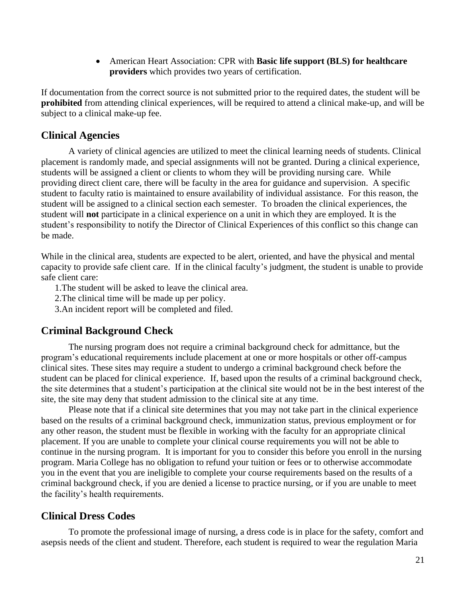• American Heart Association: CPR with **Basic life support (BLS) for healthcare providers** which provides two years of certification.

If documentation from the correct source is not submitted prior to the required dates, the student will be **prohibited** from attending clinical experiences, will be required to attend a clinical make-up, and will be subject to a clinical make-up fee.

### <span id="page-20-0"></span>**Clinical Agencies**

A variety of clinical agencies are utilized to meet the clinical learning needs of students. Clinical placement is randomly made, and special assignments will not be granted. During a clinical experience, students will be assigned a client or clients to whom they will be providing nursing care. While providing direct client care, there will be faculty in the area for guidance and supervision. A specific student to faculty ratio is maintained to ensure availability of individual assistance. For this reason, the student will be assigned to a clinical section each semester. To broaden the clinical experiences, the student will **not** participate in a clinical experience on a unit in which they are employed. It is the student's responsibility to notify the Director of Clinical Experiences of this conflict so this change can be made.

While in the clinical area, students are expected to be alert, oriented, and have the physical and mental capacity to provide safe client care. If in the clinical faculty's judgment, the student is unable to provide safe client care:

1.The student will be asked to leave the clinical area.

2.The clinical time will be made up per policy.

3.An incident report will be completed and filed.

#### <span id="page-20-1"></span>**Criminal Background Check**

The nursing program does not require a criminal background check for admittance, but the program's educational requirements include placement at one or more hospitals or other off-campus clinical sites. These sites may require a student to undergo a criminal background check before the student can be placed for clinical experience. If, based upon the results of a criminal background check, the site determines that a student's participation at the clinical site would not be in the best interest of the site, the site may deny that student admission to the clinical site at any time.

Please note that if a clinical site determines that you may not take part in the clinical experience based on the results of a criminal background check, immunization status, previous employment or for any other reason, the student must be flexible in working with the faculty for an appropriate clinical placement. If you are unable to complete your clinical course requirements you will not be able to continue in the nursing program. It is important for you to consider this before you enroll in the nursing program. Maria College has no obligation to refund your tuition or fees or to otherwise accommodate you in the event that you are ineligible to complete your course requirements based on the results of a criminal background check, if you are denied a license to practice nursing, or if you are unable to meet the facility's health requirements.

### <span id="page-20-2"></span>**Clinical Dress Codes**

To promote the professional image of nursing, a dress code is in place for the safety, comfort and asepsis needs of the client and student. Therefore, each student is required to wear the regulation Maria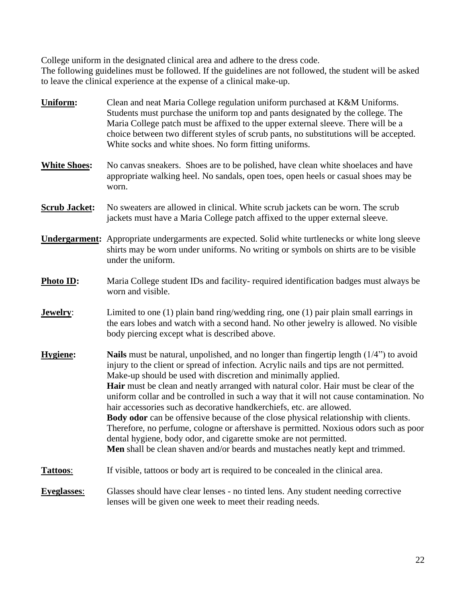College uniform in the designated clinical area and adhere to the dress code.

The following guidelines must be followed. If the guidelines are not followed, the student will be asked to leave the clinical experience at the expense of a clinical make-up.

| Uniform:             | Clean and neat Maria College regulation uniform purchased at K&M Uniforms.<br>Students must purchase the uniform top and pants designated by the college. The<br>Maria College patch must be affixed to the upper external sleeve. There will be a<br>choice between two different styles of scrub pants, no substitutions will be accepted.<br>White socks and white shoes. No form fitting uniforms.                                                                                                                                                                                                                                                                                                                                                                                                                                                             |  |  |
|----------------------|--------------------------------------------------------------------------------------------------------------------------------------------------------------------------------------------------------------------------------------------------------------------------------------------------------------------------------------------------------------------------------------------------------------------------------------------------------------------------------------------------------------------------------------------------------------------------------------------------------------------------------------------------------------------------------------------------------------------------------------------------------------------------------------------------------------------------------------------------------------------|--|--|
| <b>White Shoes:</b>  | No canvas sneakers. Shoes are to be polished, have clean white shoelaces and have<br>appropriate walking heel. No sandals, open toes, open heels or casual shoes may be<br>worn.                                                                                                                                                                                                                                                                                                                                                                                                                                                                                                                                                                                                                                                                                   |  |  |
| <b>Scrub Jacket:</b> | No sweaters are allowed in clinical. White scrub jackets can be worn. The scrub<br>jackets must have a Maria College patch affixed to the upper external sleeve.                                                                                                                                                                                                                                                                                                                                                                                                                                                                                                                                                                                                                                                                                                   |  |  |
|                      | <b>Undergarment:</b> Appropriate undergarments are expected. Solid white turtlenecks or white long sleeve<br>shirts may be worn under uniforms. No writing or symbols on shirts are to be visible<br>under the uniform.                                                                                                                                                                                                                                                                                                                                                                                                                                                                                                                                                                                                                                            |  |  |
| Photo ID:            | Maria College student IDs and facility-required identification badges must always be<br>worn and visible.                                                                                                                                                                                                                                                                                                                                                                                                                                                                                                                                                                                                                                                                                                                                                          |  |  |
| Jewelry:             | Limited to one $(1)$ plain band ring/wedding ring, one $(1)$ pair plain small earrings in<br>the ears lobes and watch with a second hand. No other jewelry is allowed. No visible<br>body piercing except what is described above.                                                                                                                                                                                                                                                                                                                                                                                                                                                                                                                                                                                                                                 |  |  |
| Hygiene:             | <b>Nails</b> must be natural, unpolished, and no longer than fingertip length $(1/4)$ to avoid<br>injury to the client or spread of infection. Acrylic nails and tips are not permitted.<br>Make-up should be used with discretion and minimally applied.<br><b>Hair</b> must be clean and neatly arranged with natural color. Hair must be clear of the<br>uniform collar and be controlled in such a way that it will not cause contamination. No<br>hair accessories such as decorative handkerchiefs, etc. are allowed.<br>Body odor can be offensive because of the close physical relationship with clients.<br>Therefore, no perfume, cologne or aftershave is permitted. Noxious odors such as poor<br>dental hygiene, body odor, and cigarette smoke are not permitted.<br>Men shall be clean shaven and/or beards and mustaches neatly kept and trimmed. |  |  |
| Tattoos:             | If visible, tattoos or body art is required to be concealed in the clinical area.                                                                                                                                                                                                                                                                                                                                                                                                                                                                                                                                                                                                                                                                                                                                                                                  |  |  |
| <b>Eyeglasses:</b>   | Glasses should have clear lenses - no tinted lens. Any student needing corrective<br>lenses will be given one week to meet their reading needs.                                                                                                                                                                                                                                                                                                                                                                                                                                                                                                                                                                                                                                                                                                                    |  |  |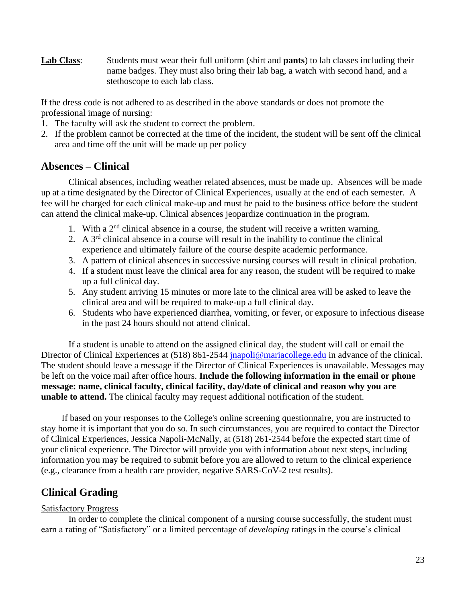**Lab Class**: Students must wear their full uniform (shirt and **pants**) to lab classes including their name badges. They must also bring their lab bag, a watch with second hand, and a stethoscope to each lab class.

If the dress code is not adhered to as described in the above standards or does not promote the professional image of nursing:

- 1. The faculty will ask the student to correct the problem.
- 2. If the problem cannot be corrected at the time of the incident, the student will be sent off the clinical area and time off the unit will be made up per policy

### <span id="page-22-0"></span>**Absences – Clinical**

Clinical absences, including weather related absences, must be made up. Absences will be made up at a time designated by the Director of Clinical Experiences, usually at the end of each semester. A fee will be charged for each clinical make-up and must be paid to the business office before the student can attend the clinical make-up. Clinical absences jeopardize continuation in the program.

- 1. With a  $2<sup>nd</sup>$  clinical absence in a course, the student will receive a written warning.
- 2. A  $3<sup>rd</sup>$  clinical absence in a course will result in the inability to continue the clinical experience and ultimately failure of the course despite academic performance.
- 3. A pattern of clinical absences in successive nursing courses will result in clinical probation.
- 4. If a student must leave the clinical area for any reason, the student will be required to make up a full clinical day.
- 5. Any student arriving 15 minutes or more late to the clinical area will be asked to leave the clinical area and will be required to make-up a full clinical day.
- 6. Students who have experienced diarrhea, vomiting, or fever, or exposure to infectious disease in the past 24 hours should not attend clinical.

If a student is unable to attend on the assigned clinical day, the student will call or email the Director of Clinical Experiences at (518) 861-2544 [jnapoli@mariacollege.edu](mailto:jnapoli@mariacollege.edu) in advance of the clinical. The student should leave a message if the Director of Clinical Experiences is unavailable. Messages may be left on the voice mail after office hours. **Include the following information in the email or phone message: name, clinical faculty, clinical facility, day/date of clinical and reason why you are unable to attend.** The clinical faculty may request additional notification of the student.

If based on your responses to the College's online screening questionnaire, you are instructed to stay home it is important that you do so. In such circumstances, you are required to contact the Director of Clinical Experiences, Jessica Napoli-McNally, at (518) 261-2544 before the expected start time of your clinical experience. The Director will provide you with information about next steps, including information you may be required to submit before you are allowed to return to the clinical experience (e.g., clearance from a health care provider, negative SARS-CoV-2 test results).

### <span id="page-22-1"></span>**Clinical Grading**

#### Satisfactory Progress

In order to complete the clinical component of a nursing course successfully, the student must earn a rating of "Satisfactory" or a limited percentage of *developing* ratings in the course's clinical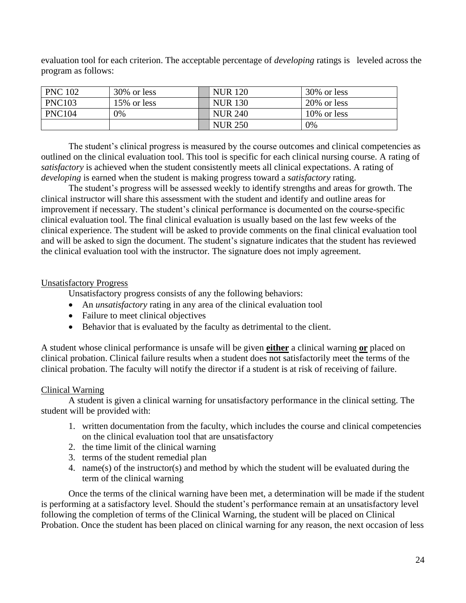evaluation tool for each criterion. The acceptable percentage of *developing* ratings is leveled across the program as follows:

| <b>PNC 102</b> | 30% or less | <b>NUR</b> 120 | 30% or less    |
|----------------|-------------|----------------|----------------|
| <b>PNC103</b>  | 15% or less | <b>NUR 130</b> | 20% or less    |
| <b>PNC104</b>  | 0%          | <b>NUR 240</b> | $10\%$ or less |
|                |             | <b>NUR 250</b> | 0%             |

The student's clinical progress is measured by the course outcomes and clinical competencies as outlined on the clinical evaluation tool. This tool is specific for each clinical nursing course. A rating of *satisfactory* is achieved when the student consistently meets all clinical expectations. A rating of *developing* is earned when the student is making progress toward a *satisfactory* rating.

The student's progress will be assessed weekly to identify strengths and areas for growth. The clinical instructor will share this assessment with the student and identify and outline areas for improvement if necessary. The student's clinical performance is documented on the course-specific clinical evaluation tool. The final clinical evaluation is usually based on the last few weeks of the clinical experience. The student will be asked to provide comments on the final clinical evaluation tool and will be asked to sign the document. The student's signature indicates that the student has reviewed the clinical evaluation tool with the instructor. The signature does not imply agreement.

#### Unsatisfactory Progress

Unsatisfactory progress consists of any the following behaviors:

- An *unsatisfactory* rating in any area of the clinical evaluation tool
- Failure to meet clinical objectives
- Behavior that is evaluated by the faculty as detrimental to the client.

A student whose clinical performance is unsafe will be given **either** a clinical warning **or** placed on clinical probation. Clinical failure results when a student does not satisfactorily meet the terms of the clinical probation. The faculty will notify the director if a student is at risk of receiving of failure.

#### Clinical Warning

A student is given a clinical warning for unsatisfactory performance in the clinical setting. The student will be provided with:

- 1. written documentation from the faculty, which includes the course and clinical competencies on the clinical evaluation tool that are unsatisfactory
- 2. the time limit of the clinical warning
- 3. terms of the student remedial plan
- 4. name(s) of the instructor(s) and method by which the student will be evaluated during the term of the clinical warning

Once the terms of the clinical warning have been met, a determination will be made if the student is performing at a satisfactory level. Should the student's performance remain at an unsatisfactory level following the completion of terms of the Clinical Warning, the student will be placed on Clinical Probation. Once the student has been placed on clinical warning for any reason, the next occasion of less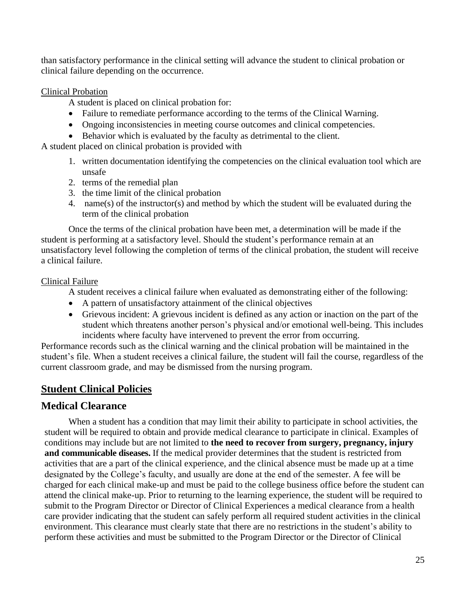than satisfactory performance in the clinical setting will advance the student to clinical probation or clinical failure depending on the occurrence.

#### Clinical Probation

A student is placed on clinical probation for:

- Failure to remediate performance according to the terms of the Clinical Warning.
- Ongoing inconsistencies in meeting course outcomes and clinical competencies.
- Behavior which is evaluated by the faculty as detrimental to the client.

A student placed on clinical probation is provided with

- 1. written documentation identifying the competencies on the clinical evaluation tool which are unsafe
- 2. terms of the remedial plan
- 3. the time limit of the clinical probation
- 4. name(s) of the instructor(s) and method by which the student will be evaluated during the term of the clinical probation

Once the terms of the clinical probation have been met, a determination will be made if the student is performing at a satisfactory level. Should the student's performance remain at an unsatisfactory level following the completion of terms of the clinical probation, the student will receive a clinical failure.

#### Clinical Failure

A student receives a clinical failure when evaluated as demonstrating either of the following:

- A pattern of unsatisfactory attainment of the clinical objectives
- Grievous incident: A grievous incident is defined as any action or inaction on the part of the student which threatens another person's physical and/or emotional well-being. This includes incidents where faculty have intervened to prevent the error from occurring.

Performance records such as the clinical warning and the clinical probation will be maintained in the student's file. When a student receives a clinical failure, the student will fail the course, regardless of the current classroom grade, and may be dismissed from the nursing program.

### <span id="page-24-0"></span>**Student Clinical Policies**

### <span id="page-24-1"></span>**Medical Clearance**

When a student has a condition that may limit their ability to participate in school activities, the student will be required to obtain and provide medical clearance to participate in clinical. Examples of conditions may include but are not limited to **the need to recover from surgery, pregnancy, injury and communicable diseases.** If the medical provider determines that the student is restricted from activities that are a part of the clinical experience, and the clinical absence must be made up at a time designated by the College's faculty, and usually are done at the end of the semester. A fee will be charged for each clinical make-up and must be paid to the college business office before the student can attend the clinical make-up. Prior to returning to the learning experience, the student will be required to submit to the Program Director or Director of Clinical Experiences a medical clearance from a health care provider indicating that the student can safely perform all required student activities in the clinical environment. This clearance must clearly state that there are no restrictions in the student's ability to perform these activities and must be submitted to the Program Director or the Director of Clinical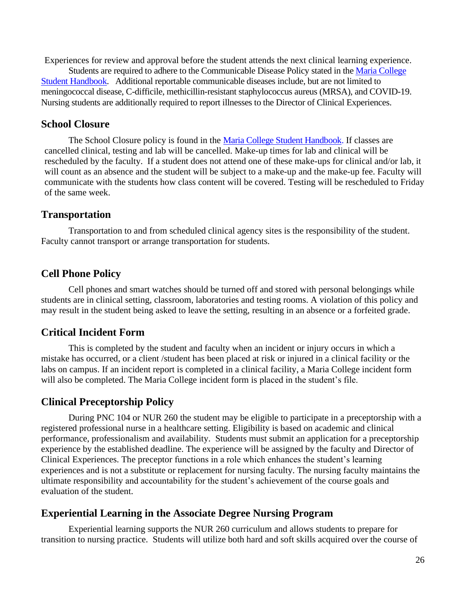Experiences for review and approval before the student attends the next clinical learning experience. Students are required to adhere to the Communicable Disease Policy stated in the [Maria College](https://mariacollege.edu/wp-content/uploads/2020/08/8.25.20-Student-Handbook2020_2.pdf)  [Student Handbook.](https://mariacollege.edu/wp-content/uploads/2020/08/8.25.20-Student-Handbook2020_2.pdf) Additional reportable communicable diseases include, but are not limited to meningococcal disease, C-difficile, methicillin-resistant staphylococcus aureus (MRSA), and COVID-19. Nursing students are additionally required to report illnesses to the Director of Clinical Experiences.

#### <span id="page-25-0"></span>**School Closure**

The School Closure policy is found in the [Maria College Student Handbook.](https://mariacollege.edu/wp-content/uploads/2020/08/8.25.20-Student-Handbook2020_2.pdf) If classes are cancelled clinical, testing and lab will be cancelled. Make-up times for lab and clinical will be rescheduled by the faculty. If a student does not attend one of these make-ups for clinical and/or lab, it will count as an absence and the student will be subject to a make-up and the make-up fee. Faculty will communicate with the students how class content will be covered. Testing will be rescheduled to Friday of the same week.

#### <span id="page-25-1"></span>**Transportation**

Transportation to and from scheduled clinical agency sites is the responsibility of the student. Faculty cannot transport or arrange transportation for students.

### <span id="page-25-2"></span>**Cell Phone Policy**

Cell phones and smart watches should be turned off and stored with personal belongings while students are in clinical setting, classroom, laboratories and testing rooms. A violation of this policy and may result in the student being asked to leave the setting, resulting in an absence or a forfeited grade.

### <span id="page-25-3"></span>**Critical Incident Form**

This is completed by the student and faculty when an incident or injury occurs in which a mistake has occurred, or a client /student has been placed at risk or injured in a clinical facility or the labs on campus. If an incident report is completed in a clinical facility, a Maria College incident form will also be completed. The Maria College incident form is placed in the student's file.

### <span id="page-25-4"></span>**Clinical Preceptorship Policy**

During PNC 104 or NUR 260 the student may be eligible to participate in a preceptorship with a registered professional nurse in a healthcare setting. Eligibility is based on academic and clinical performance, professionalism and availability. Students must submit an application for a preceptorship experience by the established deadline. The experience will be assigned by the faculty and Director of Clinical Experiences. The preceptor functions in a role which enhances the student's learning experiences and is not a substitute or replacement for nursing faculty. The nursing faculty maintains the ultimate responsibility and accountability for the student's achievement of the course goals and evaluation of the student.

#### <span id="page-25-5"></span>**Experiential Learning in the Associate Degree Nursing Program**

Experiential learning supports the NUR 260 curriculum and allows students to prepare for transition to nursing practice. Students will utilize both hard and soft skills acquired over the course of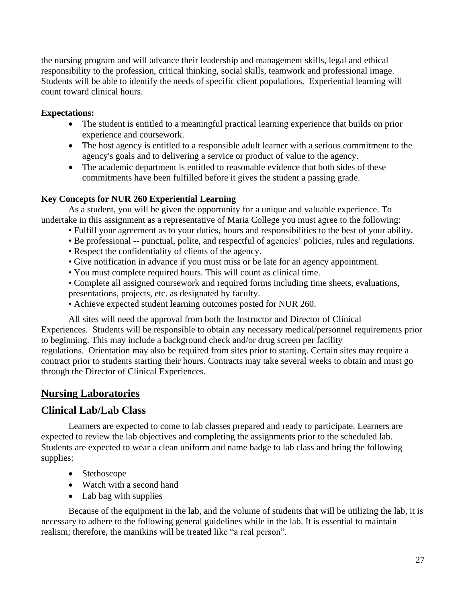the nursing program and will advance their leadership and management skills, legal and ethical responsibility to the profession, critical thinking, social skills, teamwork and professional image. Students will be able to identify the needs of specific client populations. Experiential learning will count toward clinical hours.

#### **Expectations:**

- The student is entitled to a meaningful practical learning experience that builds on prior experience and coursework.
- The host agency is entitled to a responsible adult learner with a serious commitment to the agency's goals and to delivering a service or product of value to the agency.
- The academic department is entitled to reasonable evidence that both sides of these commitments have been fulfilled before it gives the student a passing grade.

### **Key Concepts for NUR 260 Experiential Learning**

As a student, you will be given the opportunity for a unique and valuable experience. To undertake in this assignment as a representative of Maria College you must agree to the following:

- Fulfill your agreement as to your duties, hours and responsibilities to the best of your ability.
- Be professional -- punctual, polite, and respectful of agencies' policies, rules and regulations.
- Respect the confidentiality of clients of the agency.
- Give notification in advance if you must miss or be late for an agency appointment.
- You must complete required hours. This will count as clinical time.
- Complete all assigned coursework and required forms including time sheets, evaluations, presentations, projects, etc. as designated by faculty.
- Achieve expected student learning outcomes posted for NUR 260.

All sites will need the approval from both the Instructor and Director of Clinical Experiences. Students will be responsible to obtain any necessary medical/personnel requirements prior to beginning. This may include a background check and/or drug screen per facility regulations. Orientation may also be required from sites prior to starting. Certain sites may require a contract prior to students starting their hours. Contracts may take several weeks to obtain and must go through the Director of Clinical Experiences.

### <span id="page-26-0"></span>**Nursing Laboratories**

### <span id="page-26-1"></span>**Clinical Lab/Lab Class**

Learners are expected to come to lab classes prepared and ready to participate. Learners are expected to review the lab objectives and completing the assignments prior to the scheduled lab. Students are expected to wear a clean uniform and name badge to lab class and bring the following supplies:

- Stethoscope
- Watch with a second hand
- Lab bag with supplies

Because of the equipment in the lab, and the volume of students that will be utilizing the lab, it is necessary to adhere to the following general guidelines while in the lab. It is essential to maintain realism; therefore, the manikins will be treated like "a real person".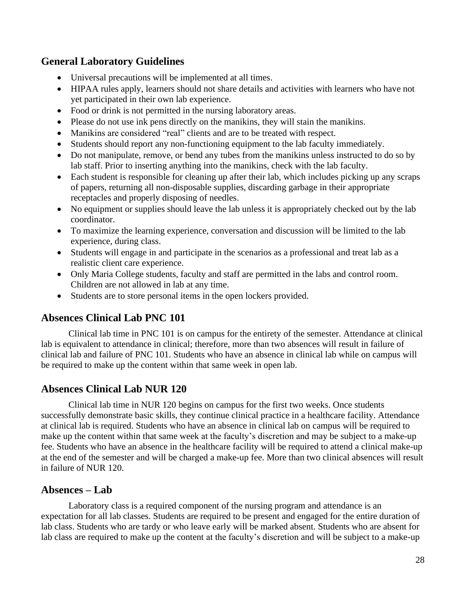### <span id="page-27-0"></span>**General Laboratory Guidelines**

- Universal precautions will be implemented at all times.
- HIPAA rules apply, learners should not share details and activities with learners who have not yet participated in their own lab experience.
- Food or drink is not permitted in the nursing laboratory areas.
- Please do not use ink pens directly on the manikins, they will stain the manikins.
- Manikins are considered "real" clients and are to be treated with respect.
- Students should report any non-functioning equipment to the lab faculty immediately.
- Do not manipulate, remove, or bend any tubes from the manikins unless instructed to do so by lab staff. Prior to inserting anything into the manikins, check with the lab faculty.
- Each student is responsible for cleaning up after their lab, which includes picking up any scraps of papers, returning all non-disposable supplies, discarding garbage in their appropriate receptacles and properly disposing of needles.
- No equipment or supplies should leave the lab unless it is appropriately checked out by the lab coordinator.
- To maximize the learning experience, conversation and discussion will be limited to the lab experience, during class.
- Students will engage in and participate in the scenarios as a professional and treat lab as a realistic client care experience.
- Only Maria College students, faculty and staff are permitted in the labs and control room. Children are not allowed in lab at any time.
- Students are to store personal items in the open lockers provided.

### **Absences Clinical Lab PNC 101**

Clinical lab time in PNC 101 is on campus for the entirety of the semester. Attendance at clinical lab is equivalent to attendance in clinical; therefore, more than two absences will result in failure of clinical lab and failure of PNC 101. Students who have an absence in clinical lab while on campus will be required to make up the content within that same week in open lab.

### <span id="page-27-1"></span>**Absences Clinical Lab NUR 120**

Clinical lab time in NUR 120 begins on campus for the first two weeks. Once students successfully demonstrate basic skills, they continue clinical practice in a healthcare facility. Attendance at clinical lab is required. Students who have an absence in clinical lab on campus will be required to make up the content within that same week at the faculty's discretion and may be subject to a make-up fee. Students who have an absence in the healthcare facility will be required to attend a clinical make-up at the end of the semester and will be charged a make-up fee. More than two clinical absences will result in failure of NUR 120.

### <span id="page-27-2"></span>**Absences – Lab**

Laboratory class is a required component of the nursing program and attendance is an expectation for all lab classes. Students are required to be present and engaged for the entire duration of lab class. Students who are tardy or who leave early will be marked absent. Students who are absent for lab class are required to make up the content at the faculty's discretion and will be subject to a make-up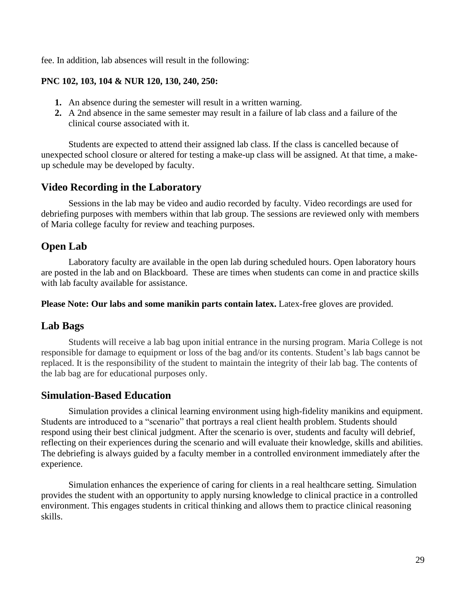fee. In addition, lab absences will result in the following:

#### **PNC 102, 103, 104 & NUR 120, 130, 240, 250:**

- **1.** An absence during the semester will result in a written warning.
- **2.** A 2nd absence in the same semester may result in a failure of lab class and a failure of the clinical course associated with it.

Students are expected to attend their assigned lab class. If the class is cancelled because of unexpected school closure or altered for testing a make-up class will be assigned. At that time, a makeup schedule may be developed by faculty.

### <span id="page-28-0"></span>**Video Recording in the Laboratory**

Sessions in the lab may be video and audio recorded by faculty. Video recordings are used for debriefing purposes with members within that lab group. The sessions are reviewed only with members of Maria college faculty for review and teaching purposes.

### <span id="page-28-1"></span>**Open Lab**

Laboratory faculty are available in the open lab during scheduled hours. Open laboratory hours are posted in the lab and on Blackboard. These are times when students can come in and practice skills with lab faculty available for assistance.

**Please Note: Our labs and some manikin parts contain latex.** Latex-free gloves are provided.

### <span id="page-28-2"></span>**Lab Bags**

Students will receive a lab bag upon initial entrance in the nursing program. Maria College is not responsible for damage to equipment or loss of the bag and/or its contents. Student's lab bags cannot be replaced. It is the responsibility of the student to maintain the integrity of their lab bag. The contents of the lab bag are for educational purposes only.

### <span id="page-28-3"></span>**Simulation-Based Education**

Simulation provides a clinical learning environment using high-fidelity manikins and equipment. Students are introduced to a "scenario" that portrays a real client health problem. Students should respond using their best clinical judgment. After the scenario is over, students and faculty will debrief, reflecting on their experiences during the scenario and will evaluate their knowledge, skills and abilities. The debriefing is always guided by a faculty member in a controlled environment immediately after the experience.

Simulation enhances the experience of caring for clients in a real healthcare setting. Simulation provides the student with an opportunity to apply nursing knowledge to clinical practice in a controlled environment. This engages students in critical thinking and allows them to practice clinical reasoning skills.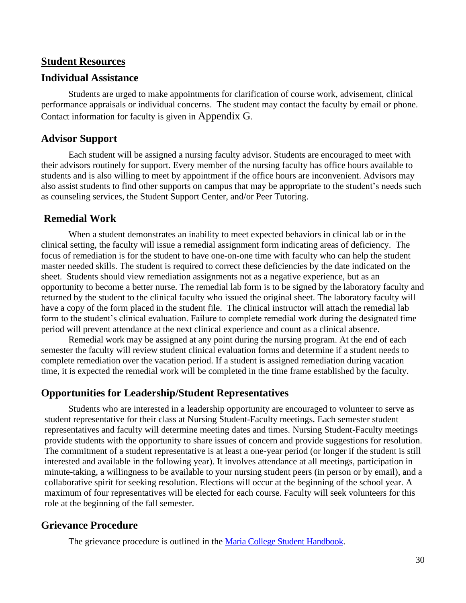#### <span id="page-29-0"></span>**Student Resources**

#### <span id="page-29-1"></span>**Individual Assistance**

Students are urged to make appointments for clarification of course work, advisement, clinical performance appraisals or individual concerns. The student may contact the faculty by email or phone. Contact information for faculty is given in [Appendix G](#page-42-0).

#### <span id="page-29-2"></span>**Advisor Support**

Each student will be assigned a nursing faculty advisor. Students are encouraged to meet with their advisors routinely for support. Every member of the nursing faculty has office hours available to students and is also willing to meet by appointment if the office hours are inconvenient. Advisors may also assist students to find other supports on campus that may be appropriate to the student's needs such as counseling services, the Student Support Center, and/or Peer Tutoring.

#### <span id="page-29-3"></span>**Remedial Work**

When a student demonstrates an inability to meet expected behaviors in clinical lab or in the clinical setting, the faculty will issue a remedial assignment form indicating areas of deficiency. The focus of remediation is for the student to have one-on-one time with faculty who can help the student master needed skills. The student is required to correct these deficiencies by the date indicated on the sheet. Students should view remediation assignments not as a negative experience, but as an opportunity to become a better nurse. The remedial lab form is to be signed by the laboratory faculty and returned by the student to the clinical faculty who issued the original sheet. The laboratory faculty will have a copy of the form placed in the student file. The clinical instructor will attach the remedial lab form to the student's clinical evaluation. Failure to complete remedial work during the designated time period will prevent attendance at the next clinical experience and count as a clinical absence.

Remedial work may be assigned at any point during the nursing program. At the end of each semester the faculty will review student clinical evaluation forms and determine if a student needs to complete remediation over the vacation period. If a student is assigned remediation during vacation time, it is expected the remedial work will be completed in the time frame established by the faculty.

#### <span id="page-29-4"></span>**Opportunities for Leadership/Student Representatives**

Students who are interested in a leadership opportunity are encouraged to volunteer to serve as student representative for their class at Nursing Student-Faculty meetings. Each semester student representatives and faculty will determine meeting dates and times. Nursing Student-Faculty meetings provide students with the opportunity to share issues of concern and provide suggestions for resolution. The commitment of a student representative is at least a one-year period (or longer if the student is still interested and available in the following year). It involves attendance at all meetings, participation in minute-taking, a willingness to be available to your nursing student peers (in person or by email), and a collaborative spirit for seeking resolution. Elections will occur at the beginning of the school year. A maximum of four representatives will be elected for each course. Faculty will seek volunteers for this role at the beginning of the fall semester.

#### <span id="page-29-5"></span>**Grievance Procedure**

The grievance procedure is outlined in the [Maria College Student Handbook.](https://mariacollege.edu/wp-content/uploads/2020/08/8.25.20-Student-Handbook2020_2.pdf)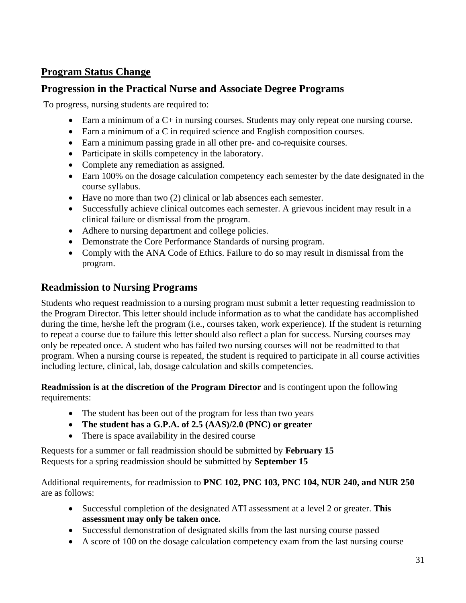### <span id="page-30-0"></span>**Program Status Change**

### <span id="page-30-1"></span>**Progression in the Practical Nurse and Associate Degree Programs**

To progress, nursing students are required to:

- Earn a minimum of a C+ in nursing courses. Students may only repeat one nursing course.
- Earn a minimum of a C in required science and English composition courses.
- Earn a minimum passing grade in all other pre- and co-requisite courses.
- Participate in skills competency in the laboratory.
- Complete any remediation as assigned.
- Earn 100% on the dosage calculation competency each semester by the date designated in the course syllabus.
- Have no more than two (2) clinical or lab absences each semester.
- Successfully achieve clinical outcomes each semester. A grievous incident may result in a clinical failure or dismissal from the program.
- Adhere to nursing department and college policies.
- Demonstrate the Core Performance Standards of nursing program.
- Comply with the ANA Code of Ethics. Failure to do so may result in dismissal from the program.

### <span id="page-30-2"></span>**Readmission to Nursing Programs**

Students who request readmission to a nursing program must submit a letter requesting readmission to the Program Director. This letter should include information as to what the candidate has accomplished during the time, he/she left the program (i.e., courses taken, work experience). If the student is returning to repeat a course due to failure this letter should also reflect a plan for success. Nursing courses may only be repeated once. A student who has failed two nursing courses will not be readmitted to that program. When a nursing course is repeated, the student is required to participate in all course activities including lecture, clinical, lab, dosage calculation and skills competencies.

**Readmission is at the discretion of the Program Director** and is contingent upon the following requirements:

- The student has been out of the program for less than two years
- **The student has a G.P.A. of 2.5 (AAS)/2.0 (PNC) or greater**
- There is space availability in the desired course

Requests for a summer or fall readmission should be submitted by **February 15**  Requests for a spring readmission should be submitted by **September 15** 

Additional requirements, for readmission to **PNC 102, PNC 103, PNC 104, NUR 240, and NUR 250** are as follows:

- Successful completion of the designated ATI assessment at a level 2 or greater. **This assessment may only be taken once.**
- Successful demonstration of designated skills from the last nursing course passed
- A score of 100 on the dosage calculation competency exam from the last nursing course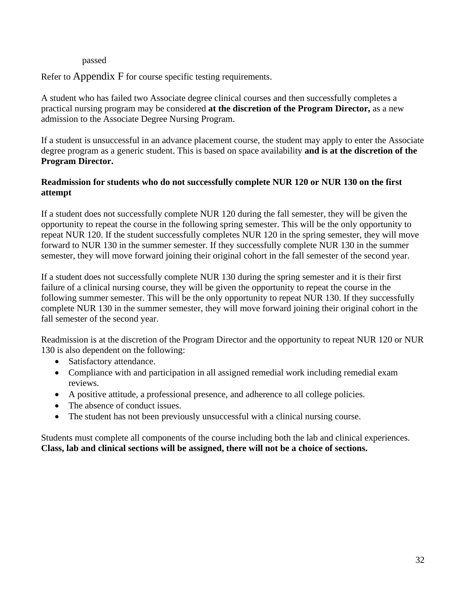#### passed

Refer to [Appendix F](#page-41-0) for course specific testing requirements.

A student who has failed two Associate degree clinical courses and then successfully completes a practical nursing program may be considered **at the discretion of the Program Director,** as a new admission to the Associate Degree Nursing Program.

If a student is unsuccessful in an advance placement course, the student may apply to enter the Associate degree program as a generic student. This is based on space availability **and is at the discretion of the Program Director.**

#### **Readmission for students who do not successfully complete NUR 120 or NUR 130 on the first attempt**

If a student does not successfully complete NUR 120 during the fall semester, they will be given the opportunity to repeat the course in the following spring semester. This will be the only opportunity to repeat NUR 120. If the student successfully completes NUR 120 in the spring semester, they will move forward to NUR 130 in the summer semester. If they successfully complete NUR 130 in the summer semester, they will move forward joining their original cohort in the fall semester of the second year.

If a student does not successfully complete NUR 130 during the spring semester and it is their first failure of a clinical nursing course, they will be given the opportunity to repeat the course in the following summer semester. This will be the only opportunity to repeat NUR 130. If they successfully complete NUR 130 in the summer semester, they will move forward joining their original cohort in the fall semester of the second year.

Readmission is at the discretion of the Program Director and the opportunity to repeat NUR 120 or NUR 130 is also dependent on the following:

- Satisfactory attendance.
- Compliance with and participation in all assigned remedial work including remedial exam reviews.
- A positive attitude, a professional presence, and adherence to all college policies.
- The absence of conduct issues.
- The student has not been previously unsuccessful with a clinical nursing course.

Students must complete all components of the course including both the lab and clinical experiences. **Class, lab and clinical sections will be assigned, there will not be a choice of sections.**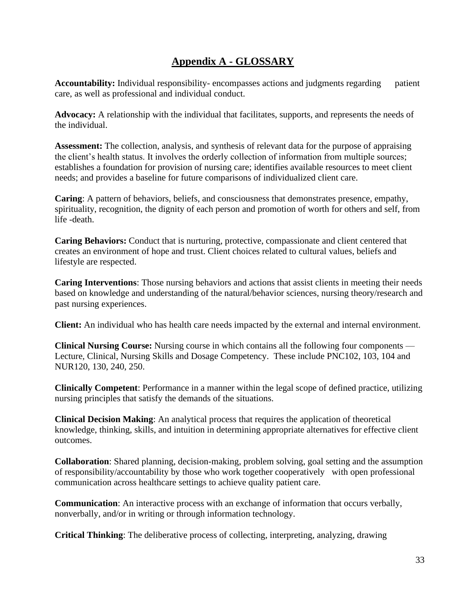### **Appendix A - GLOSSARY**

<span id="page-32-0"></span>**Accountability:** Individual responsibility- encompasses actions and judgments regardingpatient care, as well as professional and individual conduct.

**Advocacy:** A relationship with the individual that facilitates, supports, and represents the needs of the individual.

**Assessment:** The collection, analysis, and synthesis of relevant data for the purpose of appraising the client's health status. It involves the orderly collection of information from multiple sources; establishes a foundation for provision of nursing care; identifies available resources to meet client needs; and provides a baseline for future comparisons of individualized client care.

**Caring**: A pattern of behaviors, beliefs, and consciousness that demonstrates presence, empathy, spirituality, recognition, the dignity of each person and promotion of worth for others and self, from life -death.

**Caring Behaviors:** Conduct that is nurturing, protective, compassionate and client centered that creates an environment of hope and trust. Client choices related to cultural values, beliefs and lifestyle are respected.

**Caring Interventions**: Those nursing behaviors and actions that assist clients in meeting their needs based on knowledge and understanding of the natural/behavior sciences, nursing theory/research and past nursing experiences.

**Client:** An individual who has health care needs impacted by the external and internal environment.

**Clinical Nursing Course:** Nursing course in which contains all the following four components — Lecture, Clinical, Nursing Skills and Dosage Competency. These include PNC102, 103, 104 and NUR120, 130, 240, 250.

**Clinically Competent**: Performance in a manner within the legal scope of defined practice, utilizing nursing principles that satisfy the demands of the situations.

**Clinical Decision Making**: An analytical process that requires the application of theoretical knowledge, thinking, skills, and intuition in determining appropriate alternatives for effective client outcomes.

**Collaboration**: Shared planning, decision-making, problem solving, goal setting and the assumption of responsibility/accountability by those who work together cooperatively with open professional communication across healthcare settings to achieve quality patient care.

**Communication**: An interactive process with an exchange of information that occurs verbally, nonverbally, and/or in writing or through information technology.

**Critical Thinking**: The deliberative process of collecting, interpreting, analyzing, drawing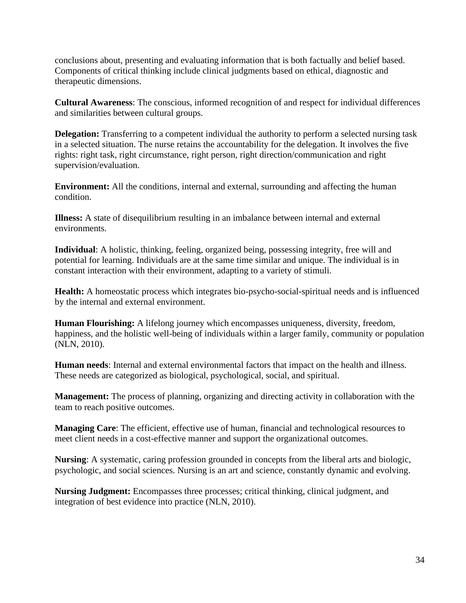conclusions about, presenting and evaluating information that is both factually and belief based. Components of critical thinking include clinical judgments based on ethical, diagnostic and therapeutic dimensions.

**Cultural Awareness**: The conscious, informed recognition of and respect for individual differences and similarities between cultural groups.

**Delegation:** Transferring to a competent individual the authority to perform a selected nursing task in a selected situation. The nurse retains the accountability for the delegation. It involves the five rights: right task, right circumstance, right person, right direction/communication and right supervision/evaluation.

**Environment:** All the conditions, internal and external, surrounding and affecting the human condition.

**Illness:** A state of disequilibrium resulting in an imbalance between internal and external environments.

**Individual**: A holistic, thinking, feeling, organized being, possessing integrity, free will and potential for learning. Individuals are at the same time similar and unique. The individual is in constant interaction with their environment, adapting to a variety of stimuli.

**Health:** A homeostatic process which integrates bio-psycho-social-spiritual needs and is influenced by the internal and external environment.

**Human Flourishing:** A lifelong journey which encompasses uniqueness, diversity, freedom, happiness, and the holistic well-being of individuals within a larger family, community or population (NLN, 2010).

**Human needs**: Internal and external environmental factors that impact on the health and illness. These needs are categorized as biological, psychological, social, and spiritual.

**Management:** The process of planning, organizing and directing activity in collaboration with the team to reach positive outcomes.

**Managing Care**: The efficient, effective use of human, financial and technological resources to meet client needs in a cost-effective manner and support the organizational outcomes.

**Nursing**: A systematic, caring profession grounded in concepts from the liberal arts and biologic, psychologic, and social sciences. Nursing is an art and science, constantly dynamic and evolving.

**Nursing Judgment:** Encompasses three processes; critical thinking, clinical judgment, and integration of best evidence into practice (NLN, 2010).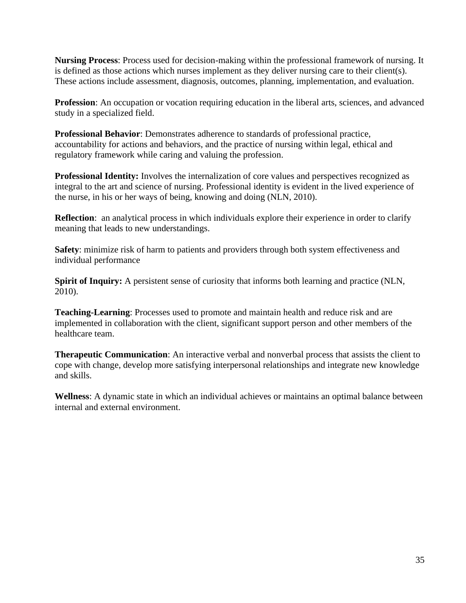**Nursing Process**: Process used for decision-making within the professional framework of nursing. It is defined as those actions which nurses implement as they deliver nursing care to their client(s). These actions include assessment, diagnosis, outcomes, planning, implementation, and evaluation.

**Profession**: An occupation or vocation requiring education in the liberal arts, sciences, and advanced study in a specialized field.

**Professional Behavior**: Demonstrates adherence to standards of professional practice, accountability for actions and behaviors, and the practice of nursing within legal, ethical and regulatory framework while caring and valuing the profession.

**Professional Identity:** Involves the internalization of core values and perspectives recognized as integral to the art and science of nursing. Professional identity is evident in the lived experience of the nurse, in his or her ways of being, knowing and doing (NLN, 2010).

**Reflection**: an analytical process in which individuals explore their experience in order to clarify meaning that leads to new understandings.

**Safety**: minimize risk of harm to patients and providers through both system effectiveness and individual performance

**Spirit of Inquiry:** A persistent sense of curiosity that informs both learning and practice (NLN, 2010).

**Teaching-Learning**: Processes used to promote and maintain health and reduce risk and are implemented in collaboration with the client, significant support person and other members of the healthcare team.

**Therapeutic Communication**: An interactive verbal and nonverbal process that assists the client to cope with change, develop more satisfying interpersonal relationships and integrate new knowledge and skills.

**Wellness**: A dynamic state in which an individual achieves or maintains an optimal balance between internal and external environment.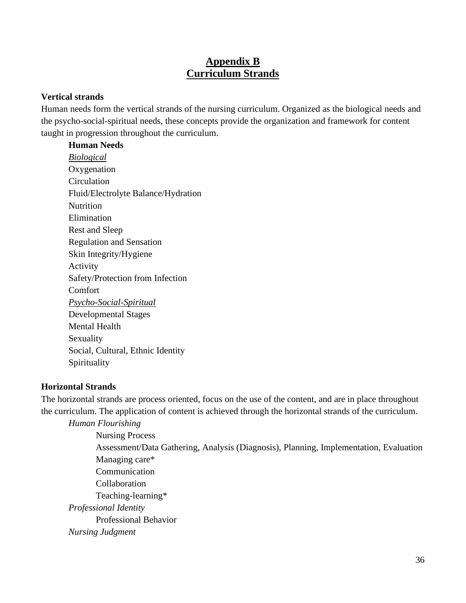### **Appendix B Curriculum Strands**

#### <span id="page-35-1"></span><span id="page-35-0"></span>**Vertical strands**

Human needs form the vertical strands of the nursing curriculum. Organized as the biological needs and the psycho-social-spiritual needs, these concepts provide the organization and framework for content taught in progression throughout the curriculum.

# **Human Needs**

*Biological* **Oxygenation** Circulation Fluid/Electrolyte Balance/Hydration **Nutrition** Elimination Rest and Sleep Regulation and Sensation Skin Integrity/Hygiene Activity Safety/Protection from Infection Comfort *Psycho-Social-Spiritual* Developmental Stages Mental Health Sexuality Social, Cultural, Ethnic Identity Spirituality

### **Horizontal Strands**

The horizontal strands are process oriented, focus on the use of the content, and are in place throughout the curriculum. The application of content is achieved through the horizontal strands of the curriculum. *Human Flourishing*

Nursing Process Assessment/Data Gathering, Analysis (Diagnosis), Planning, Implementation, Evaluation Managing care\* Communication Collaboration Teaching-learning\* *Professional Identity* Professional Behavior *Nursing Judgment*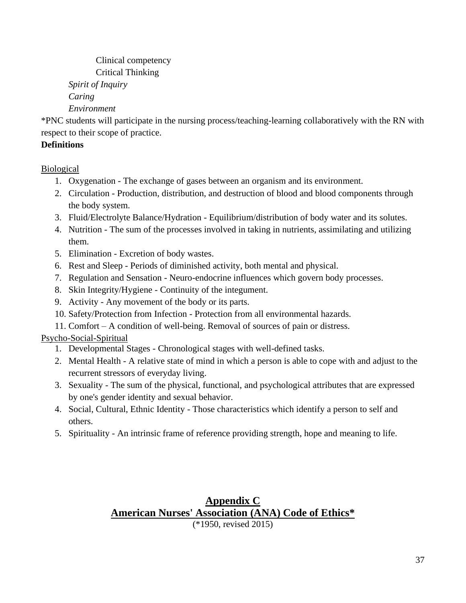Clinical competency Critical Thinking *Spirit of Inquiry Caring*

*Environment*

\*PNC students will participate in the nursing process/teaching-learning collaboratively with the RN with respect to their scope of practice.

### **Definitions**

**Biological** 

- 1. Oxygenation The exchange of gases between an organism and its environment.
- 2. Circulation Production, distribution, and destruction of blood and blood components through the body system.
- 3. Fluid/Electrolyte Balance/Hydration Equilibrium/distribution of body water and its solutes.
- 4. Nutrition The sum of the processes involved in taking in nutrients, assimilating and utilizing them.
- 5. Elimination Excretion of body wastes.
- 6. Rest and Sleep Periods of diminished activity, both mental and physical.
- 7. Regulation and Sensation Neuro-endocrine influences which govern body processes.
- 8. Skin Integrity/Hygiene Continuity of the integument.
- 9. Activity Any movement of the body or its parts.
- 10. Safety/Protection from Infection Protection from all environmental hazards.
- 11. Comfort A condition of well-being. Removal of sources of pain or distress.

### Psycho-Social-Spiritual

- 1. Developmental Stages Chronological stages with well-defined tasks.
- 2. Mental Health A relative state of mind in which a person is able to cope with and adjust to the recurrent stressors of everyday living.
- 3. Sexuality The sum of the physical, functional, and psychological attributes that are expressed by one's gender identity and sexual behavior.
- 4. Social, Cultural, Ethnic Identity Those characteristics which identify a person to self and others.
- <span id="page-36-0"></span>5. Spirituality - An intrinsic frame of reference providing strength, hope and meaning to life.

### <span id="page-36-1"></span>**Appendix C American Nurses' Association (ANA) Code of Ethics\*** (\*1950, revised 2015)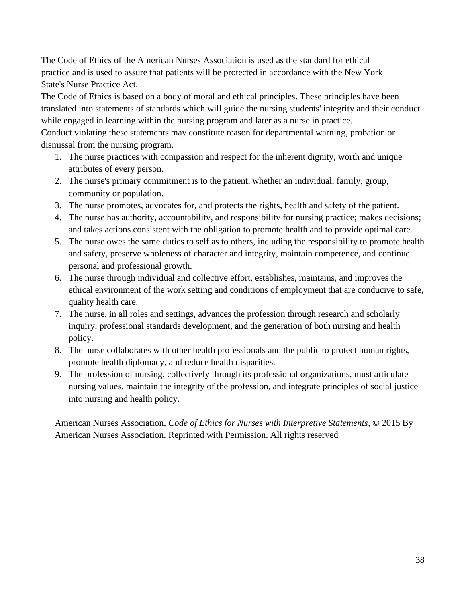The Code of Ethics of the American Nurses Association is used as the standard for ethical practice and is used to assure that patients will be protected in accordance with the New York State's Nurse Practice Act.

The Code of Ethics is based on a body of moral and ethical principles. These principles have been translated into statements of standards which will guide the nursing students' integrity and their conduct while engaged in learning within the nursing program and later as a nurse in practice.

Conduct violating these statements may constitute reason for departmental warning, probation or dismissal from the nursing program.

- 1. The nurse practices with compassion and respect for the inherent dignity, worth and unique attributes of every person.
- 2. The nurse's primary commitment is to the patient, whether an individual, family, group, community or population.
- 3. The nurse promotes, advocates for, and protects the rights, health and safety of the patient.
- 4. The nurse has authority, accountability, and responsibility for nursing practice; makes decisions; and takes actions consistent with the obligation to promote health and to provide optimal care.
- 5. The nurse owes the same duties to self as to others, including the responsibility to promote health and safety, preserve wholeness of character and integrity, maintain competence, and continue personal and professional growth.
- 6. The nurse through individual and collective effort, establishes, maintains, and improves the ethical environment of the work setting and conditions of employment that are conducive to safe, quality health care.
- 7. The nurse, in all roles and settings, advances the profession through research and scholarly inquiry, professional standards development, and the generation of both nursing and health policy.
- 8. The nurse collaborates with other health professionals and the public to protect human rights, promote health diplomacy, and reduce health disparities.
- 9. The profession of nursing, collectively through its professional organizations, must articulate nursing values, maintain the integrity of the profession, and integrate principles of social justice into nursing and health policy.

American Nurses Association, *Code of Ethics for Nurses with Interpretive Statements*, © 2015 By American Nurses Association. Reprinted with Permission. All rights reserved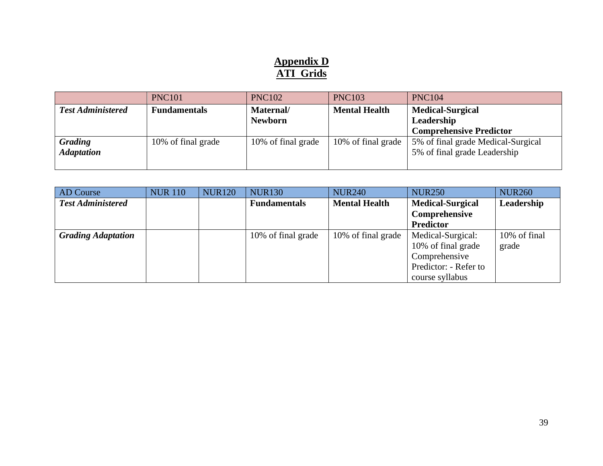### **Appendix D ATI Grids**

|                          | <b>PNC101</b>       | <b>PNC102</b>      | <b>PNC103</b>        | <b>PNC104</b>                      |  |
|--------------------------|---------------------|--------------------|----------------------|------------------------------------|--|
| <b>Test Administered</b> | <b>Fundamentals</b> | Maternal/          | <b>Mental Health</b> | <b>Medical-Surgical</b>            |  |
|                          |                     | <b>Newborn</b>     |                      | Leadership                         |  |
|                          |                     |                    |                      | <b>Comprehensive Predictor</b>     |  |
| Grading                  | 10% of final grade  | 10% of final grade | 10% of final grade   | 5% of final grade Medical-Surgical |  |
| <b>Adaptation</b>        |                     |                    |                      | 5% of final grade Leadership       |  |
|                          |                     |                    |                      |                                    |  |

<span id="page-38-1"></span><span id="page-38-0"></span>

| AD Course                 | <b>NUR 110</b> | <b>NUR120</b> | <b>NUR130</b>       | <b>NUR240</b>        | <b>NUR250</b>           | <b>NUR260</b> |
|---------------------------|----------------|---------------|---------------------|----------------------|-------------------------|---------------|
| <b>Test Administered</b>  |                |               | <b>Fundamentals</b> | <b>Mental Health</b> | <b>Medical-Surgical</b> | Leadership    |
|                           |                |               |                     |                      | Comprehensive           |               |
|                           |                |               |                     |                      | <b>Predictor</b>        |               |
| <b>Grading Adaptation</b> |                |               | 10% of final grade  | 10% of final grade   | Medical-Surgical:       | 10% of final  |
|                           |                |               |                     |                      | 10% of final grade      | grade         |
|                           |                |               |                     |                      | Comprehensive           |               |
|                           |                |               |                     |                      | Predictor: - Refer to   |               |
|                           |                |               |                     |                      | course syllabus         |               |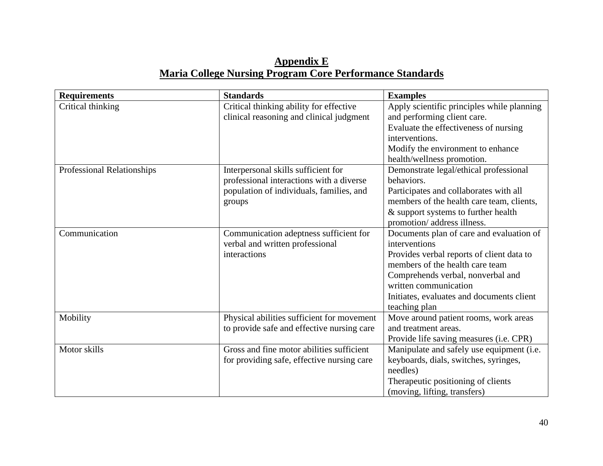### **Appendix E Maria College Nursing Program Core Performance Standards**

<span id="page-39-1"></span><span id="page-39-0"></span>

| <b>Requirements</b>        | <b>Standards</b>                           | <b>Examples</b>                            |
|----------------------------|--------------------------------------------|--------------------------------------------|
| Critical thinking          | Critical thinking ability for effective    | Apply scientific principles while planning |
|                            | clinical reasoning and clinical judgment   | and performing client care.                |
|                            |                                            | Evaluate the effectiveness of nursing      |
|                            |                                            | interventions.                             |
|                            |                                            | Modify the environment to enhance          |
|                            |                                            | health/wellness promotion.                 |
| Professional Relationships | Interpersonal skills sufficient for        | Demonstrate legal/ethical professional     |
|                            | professional interactions with a diverse   | behaviors.                                 |
|                            | population of individuals, families, and   | Participates and collaborates with all     |
|                            | groups                                     | members of the health care team, clients,  |
|                            |                                            | & support systems to further health        |
|                            |                                            | promotion/ address illness.                |
| Communication              | Communication adeptness sufficient for     | Documents plan of care and evaluation of   |
|                            | verbal and written professional            | interventions                              |
|                            | interactions                               | Provides verbal reports of client data to  |
|                            |                                            | members of the health care team            |
|                            |                                            | Comprehends verbal, nonverbal and          |
|                            |                                            | written communication                      |
|                            |                                            | Initiates, evaluates and documents client  |
|                            |                                            | teaching plan                              |
| Mobility                   | Physical abilities sufficient for movement | Move around patient rooms, work areas      |
|                            | to provide safe and effective nursing care | and treatment areas.                       |
|                            |                                            | Provide life saving measures (i.e. CPR)    |
| Motor skills               | Gross and fine motor abilities sufficient  | Manipulate and safely use equipment (i.e.  |
|                            | for providing safe, effective nursing care | keyboards, dials, switches, syringes,      |
|                            |                                            | needles)                                   |
|                            |                                            | Therapeutic positioning of clients         |
|                            |                                            | (moving, lifting, transfers)               |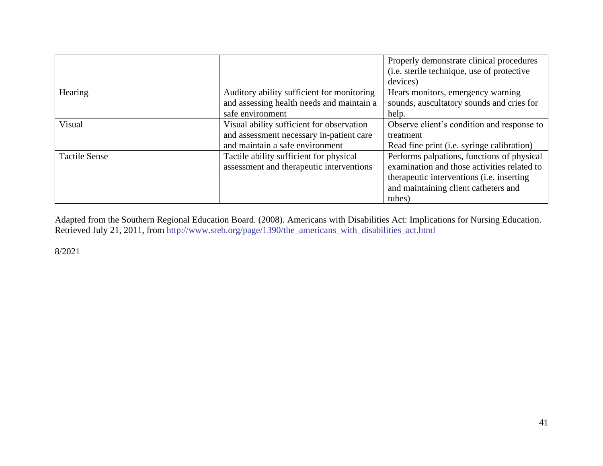|                      |                                            | Properly demonstrate clinical procedures          |
|----------------------|--------------------------------------------|---------------------------------------------------|
|                      |                                            | (i.e. sterile technique, use of protective        |
|                      |                                            | devices)                                          |
| Hearing              | Auditory ability sufficient for monitoring | Hears monitors, emergency warning                 |
|                      | and assessing health needs and maintain a  | sounds, auscultatory sounds and cries for         |
|                      | safe environment                           | help.                                             |
| Visual               | Visual ability sufficient for observation  | Observe client's condition and response to        |
|                      | and assessment necessary in-patient care   | treatment                                         |
|                      | and maintain a safe environment            | Read fine print (i.e. syringe calibration)        |
| <b>Tactile Sense</b> | Tactile ability sufficient for physical    | Performs palpations, functions of physical        |
|                      | assessment and therapeutic interventions   | examination and those activities related to       |
|                      |                                            | therapeutic interventions ( <i>i.e.</i> inserting |
|                      |                                            | and maintaining client catheters and              |
|                      |                                            | tubes)                                            |

Adapted from the Southern Regional Education Board. (2008). Americans with Disabilities Act: Implications for Nursing Education. Retrieved July 21, 2011, from [http://www.sreb.org/page/1390/the\\_americans\\_with\\_disabilities\\_act.html](http://www.sreb.org/page/1390/the_americans_with_disabilities_act.html)

8/2021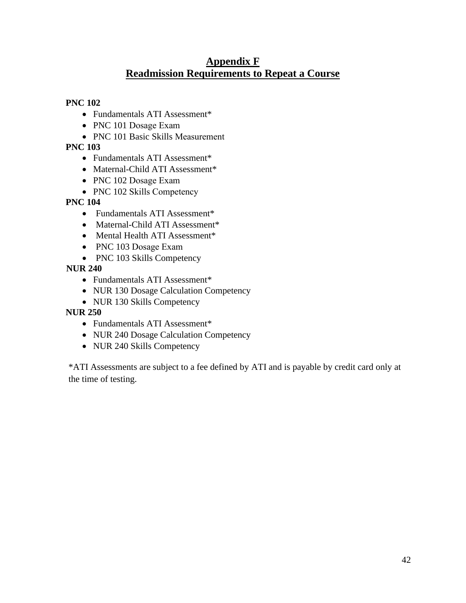### **Appendix F Readmission Requirements to Repeat a Course**

#### <span id="page-41-1"></span><span id="page-41-0"></span>**PNC 102**

- Fundamentals ATI Assessment\*
- PNC 101 Dosage Exam
- PNC 101 Basic Skills Measurement

### **PNC 103**

- Fundamentals ATI Assessment\*
- Maternal-Child ATI Assessment\*
- PNC 102 Dosage Exam
- PNC 102 Skills Competency

### **PNC 104**

- Fundamentals ATI Assessment\*
- Maternal-Child ATI Assessment\*
- Mental Health ATI Assessment\*
- PNC 103 Dosage Exam
- PNC 103 Skills Competency

 **NUR 240**

- Fundamentals ATI Assessment\*
- NUR 130 Dosage Calculation Competency
- NUR 130 Skills Competency

### **NUR 250**

- Fundamentals ATI Assessment\*
- NUR 240 Dosage Calculation Competency
- NUR 240 Skills Competency

\*ATI Assessments are subject to a fee defined by ATI and is payable by credit card only at the time of testing.